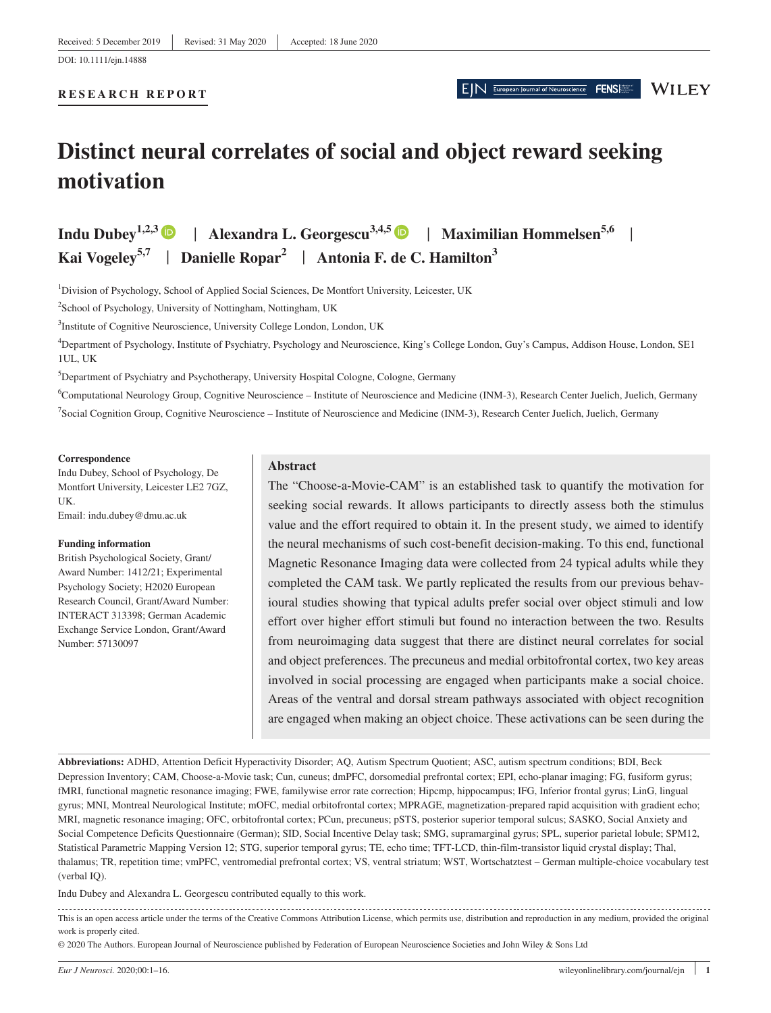#### **RESEARCH REPORT**

EIN European Journal of Neuroscience FENS **WILEY** 

# **Distinct neural correlates of social and object reward seeking motivation**

Indu Dubey<sup>1,2,[3](https://orcid.org/0000-0002-3937-1058)</sup> | Alexandra L. Georgescu<sup>3,4,[5](https://orcid.org/0000-0003-1929-5673)</sup> | **Maximilian Hommelsen**<sup>5,6</sup> | **Kai Vogeley5,7** | **Danielle Ropar<sup>2</sup>** | **Antonia F. de C. Hamilton<sup>3</sup>**

<sup>1</sup>Division of Psychology, School of Applied Social Sciences, De Montfort University, Leicester, UK

<sup>2</sup>School of Psychology, University of Nottingham, Nottingham, UK

<sup>3</sup>Institute of Cognitive Neuroscience, University College London, London, UK

4 Department of Psychology, Institute of Psychiatry, Psychology and Neuroscience, King's College London, Guy's Campus, Addison House, London, SE1 1UL, UK

<sup>5</sup>Department of Psychiatry and Psychotherapy, University Hospital Cologne, Cologne, Germany

6 Computational Neurology Group, Cognitive Neuroscience – Institute of Neuroscience and Medicine (INM-3), Research Center Juelich, Juelich, Germany 7 Social Cognition Group, Cognitive Neuroscience – Institute of Neuroscience and Medicine (INM-3), Research Center Juelich, Juelich, Germany

#### **Correspondence**

Indu Dubey, School of Psychology, De Montfort University, Leicester LE2 7GZ, UK.

Email: [indu.dubey@dmu.ac.uk](mailto:indu.dubey@dmu.ac.uk)

#### **Funding information**

British Psychological Society, Grant/ Award Number: 1412/21; Experimental Psychology Society; H2020 European Research Council, Grant/Award Number: INTERACT 313398; German Academic Exchange Service London, Grant/Award Number: 57130097

#### **Abstract**

The "Choose-a-Movie-CAM" is an established task to quantify the motivation for seeking social rewards. It allows participants to directly assess both the stimulus value and the effort required to obtain it. In the present study, we aimed to identify the neural mechanisms of such cost-benefit decision-making. To this end, functional Magnetic Resonance Imaging data were collected from 24 typical adults while they completed the CAM task. We partly replicated the results from our previous behavioural studies showing that typical adults prefer social over object stimuli and low effort over higher effort stimuli but found no interaction between the two. Results from neuroimaging data suggest that there are distinct neural correlates for social and object preferences. The precuneus and medial orbitofrontal cortex, two key areas involved in social processing are engaged when participants make a social choice. Areas of the ventral and dorsal stream pathways associated with object recognition are engaged when making an object choice. These activations can be seen during the

**Abbreviations:** ADHD, Attention Deficit Hyperactivity Disorder; AQ, Autism Spectrum Quotient; ASC, autism spectrum conditions; BDI, Beck Depression Inventory; CAM, Choose-a-Movie task; Cun, cuneus; dmPFC, dorsomedial prefrontal cortex; EPI, echo-planar imaging; FG, fusiform gyrus; fMRI, functional magnetic resonance imaging; FWE, familywise error rate correction; Hipcmp, hippocampus; IFG, Inferior frontal gyrus; LinG, lingual gyrus; MNI, Montreal Neurological Institute; mOFC, medial orbitofrontal cortex; MPRAGE, magnetization-prepared rapid acquisition with gradient echo; MRI, magnetic resonance imaging; OFC, orbitofrontal cortex; PCun, precuneus; pSTS, posterior superior temporal sulcus; SASKO, Social Anxiety and Social Competence Deficits Questionnaire (German); SID, Social Incentive Delay task; SMG, supramarginal gyrus; SPL, superior parietal lobule; SPM12, Statistical Parametric Mapping Version 12; STG, superior temporal gyrus; TE, echo time; TFT-LCD, thin-film-transistor liquid crystal display; Thal, thalamus; TR, repetition time; vmPFC, ventromedial prefrontal cortex; VS, ventral striatum; WST, Wortschatztest – German multiple-choice vocabulary test (verbal IQ).

Indu Dubey and Alexandra L. Georgescu contributed equally to this work.

This is an open access article under the terms of the [Creative Commons Attribution](http://creativecommons.org/licenses/by/4.0/) License, which permits use, distribution and reproduction in any medium, provided the original work is properly cited.

© 2020 The Authors. European Journal of Neuroscience published by Federation of European Neuroscience Societies and John Wiley & Sons Ltd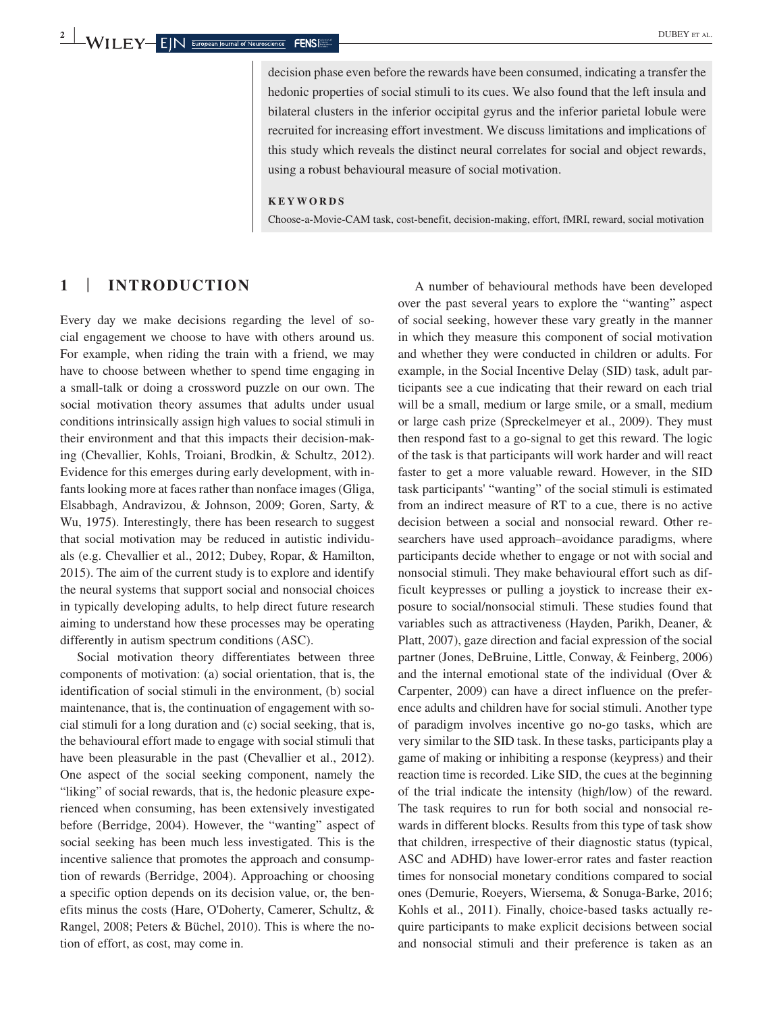decision phase even before the rewards have been consumed, indicating a transfer the hedonic properties of social stimuli to its cues. We also found that the left insula and bilateral clusters in the inferior occipital gyrus and the inferior parietal lobule were recruited for increasing effort investment. We discuss limitations and implications of this study which reveals the distinct neural correlates for social and object rewards, using a robust behavioural measure of social motivation.

#### **KEYWORDS**

Choose-a-Movie-CAM task, cost-benefit, decision-making, effort, fMRI, reward, social motivation

# **1** | **INTRODUCTION**

Every day we make decisions regarding the level of social engagement we choose to have with others around us. For example, when riding the train with a friend, we may have to choose between whether to spend time engaging in a small-talk or doing a crossword puzzle on our own. The social motivation theory assumes that adults under usual conditions intrinsically assign high values to social stimuli in their environment and that this impacts their decision-making (Chevallier, Kohls, Troiani, Brodkin, & Schultz, 2012). Evidence for this emerges during early development, with infants looking more at faces rather than nonface images (Gliga, Elsabbagh, Andravizou, & Johnson, 2009; Goren, Sarty, & Wu, 1975). Interestingly, there has been research to suggest that social motivation may be reduced in autistic individuals (e.g. Chevallier et al., 2012; Dubey, Ropar, & Hamilton, 2015). The aim of the current study is to explore and identify the neural systems that support social and nonsocial choices in typically developing adults, to help direct future research aiming to understand how these processes may be operating differently in autism spectrum conditions (ASC).

Social motivation theory differentiates between three components of motivation: (a) social orientation, that is, the identification of social stimuli in the environment, (b) social maintenance, that is, the continuation of engagement with social stimuli for a long duration and (c) social seeking, that is, the behavioural effort made to engage with social stimuli that have been pleasurable in the past (Chevallier et al., 2012). One aspect of the social seeking component, namely the "liking" of social rewards, that is, the hedonic pleasure experienced when consuming, has been extensively investigated before (Berridge, 2004). However, the "wanting" aspect of social seeking has been much less investigated. This is the incentive salience that promotes the approach and consumption of rewards (Berridge, 2004). Approaching or choosing a specific option depends on its decision value, or, the benefits minus the costs (Hare, O'Doherty, Camerer, Schultz, & Rangel, 2008; Peters & Büchel, 2010). This is where the notion of effort, as cost, may come in.

A number of behavioural methods have been developed over the past several years to explore the "wanting" aspect of social seeking, however these vary greatly in the manner in which they measure this component of social motivation and whether they were conducted in children or adults. For example, in the Social Incentive Delay (SID) task, adult participants see a cue indicating that their reward on each trial will be a small, medium or large smile, or a small, medium or large cash prize (Spreckelmeyer et al., 2009). They must then respond fast to a go-signal to get this reward. The logic of the task is that participants will work harder and will react faster to get a more valuable reward. However, in the SID task participants' "wanting" of the social stimuli is estimated from an indirect measure of RT to a cue, there is no active decision between a social and nonsocial reward. Other researchers have used approach–avoidance paradigms, where participants decide whether to engage or not with social and nonsocial stimuli. They make behavioural effort such as difficult keypresses or pulling a joystick to increase their exposure to social/nonsocial stimuli. These studies found that variables such as attractiveness (Hayden, Parikh, Deaner, & Platt, 2007), gaze direction and facial expression of the social partner (Jones, DeBruine, Little, Conway, & Feinberg, 2006) and the internal emotional state of the individual (Over & Carpenter, 2009) can have a direct influence on the preference adults and children have for social stimuli. Another type of paradigm involves incentive go no-go tasks, which are very similar to the SID task. In these tasks, participants play a game of making or inhibiting a response (keypress) and their reaction time is recorded. Like SID, the cues at the beginning of the trial indicate the intensity (high/low) of the reward. The task requires to run for both social and nonsocial rewards in different blocks. Results from this type of task show that children, irrespective of their diagnostic status (typical, ASC and ADHD) have lower-error rates and faster reaction times for nonsocial monetary conditions compared to social ones (Demurie, Roeyers, Wiersema, & Sonuga-Barke, 2016; Kohls et al., 2011). Finally, choice-based tasks actually require participants to make explicit decisions between social and nonsocial stimuli and their preference is taken as an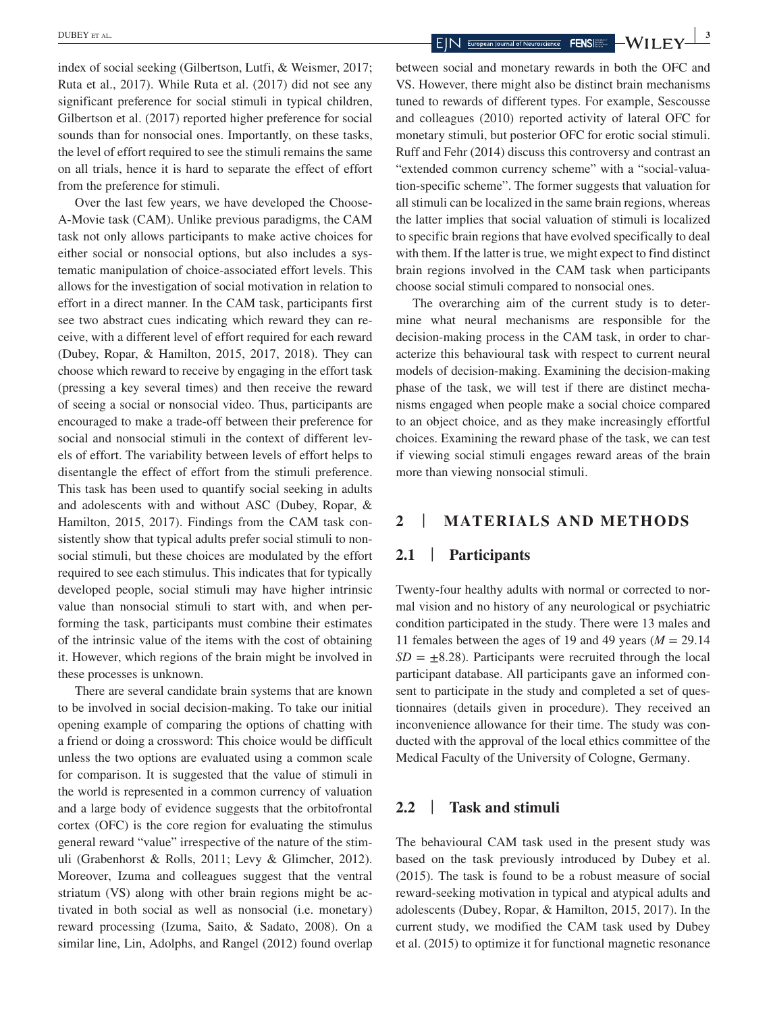index of social seeking (Gilbertson, Lutfi, & Weismer, 2017; Ruta et al., 2017). While Ruta et al. (2017) did not see any significant preference for social stimuli in typical children, Gilbertson et al. (2017) reported higher preference for social sounds than for nonsocial ones. Importantly, on these tasks, the level of effort required to see the stimuli remains the same on all trials, hence it is hard to separate the effect of effort from the preference for stimuli.

Over the last few years, we have developed the Choose-A-Movie task (CAM). Unlike previous paradigms, the CAM task not only allows participants to make active choices for either social or nonsocial options, but also includes a systematic manipulation of choice-associated effort levels. This allows for the investigation of social motivation in relation to effort in a direct manner. In the CAM task, participants first see two abstract cues indicating which reward they can receive, with a different level of effort required for each reward (Dubey, Ropar, & Hamilton, 2015, 2017, 2018). They can choose which reward to receive by engaging in the effort task (pressing a key several times) and then receive the reward of seeing a social or nonsocial video. Thus, participants are encouraged to make a trade-off between their preference for social and nonsocial stimuli in the context of different levels of effort. The variability between levels of effort helps to disentangle the effect of effort from the stimuli preference. This task has been used to quantify social seeking in adults and adolescents with and without ASC (Dubey, Ropar, & Hamilton, 2015, 2017). Findings from the CAM task consistently show that typical adults prefer social stimuli to nonsocial stimuli, but these choices are modulated by the effort required to see each stimulus. This indicates that for typically developed people, social stimuli may have higher intrinsic value than nonsocial stimuli to start with, and when performing the task, participants must combine their estimates of the intrinsic value of the items with the cost of obtaining it. However, which regions of the brain might be involved in these processes is unknown.

There are several candidate brain systems that are known to be involved in social decision-making. To take our initial opening example of comparing the options of chatting with a friend or doing a crossword: This choice would be difficult unless the two options are evaluated using a common scale for comparison. It is suggested that the value of stimuli in the world is represented in a common currency of valuation and a large body of evidence suggests that the orbitofrontal cortex (OFC) is the core region for evaluating the stimulus general reward "value" irrespective of the nature of the stimuli (Grabenhorst & Rolls, 2011; Levy & Glimcher, 2012). Moreover, Izuma and colleagues suggest that the ventral striatum (VS) along with other brain regions might be activated in both social as well as nonsocial (i.e. monetary) reward processing (Izuma, Saito, & Sadato, 2008). On a similar line, Lin, Adolphs, and Rangel (2012) found overlap

between social and monetary rewards in both the OFC and VS. However, there might also be distinct brain mechanisms tuned to rewards of different types. For example, Sescousse and colleagues (2010) reported activity of lateral OFC for monetary stimuli, but posterior OFC for erotic social stimuli. Ruff and Fehr (2014) discuss this controversy and contrast an "extended common currency scheme" with a "social-valuation-specific scheme". The former suggests that valuation for all stimuli can be localized in the same brain regions, whereas the latter implies that social valuation of stimuli is localized to specific brain regions that have evolved specifically to deal with them. If the latter is true, we might expect to find distinct brain regions involved in the CAM task when participants choose social stimuli compared to nonsocial ones.

The overarching aim of the current study is to determine what neural mechanisms are responsible for the decision-making process in the CAM task, in order to characterize this behavioural task with respect to current neural models of decision-making. Examining the decision-making phase of the task, we will test if there are distinct mechanisms engaged when people make a social choice compared to an object choice, and as they make increasingly effortful choices. Examining the reward phase of the task, we can test if viewing social stimuli engages reward areas of the brain more than viewing nonsocial stimuli.

# **2** | **MATERIALS AND METHODS**

# **2.1** | **Participants**

Twenty-four healthy adults with normal or corrected to normal vision and no history of any neurological or psychiatric condition participated in the study. There were 13 males and 11 females between the ages of 19 and 49 years ( $M = 29.14$ )  $SD = \pm 8.28$ . Participants were recruited through the local participant database. All participants gave an informed consent to participate in the study and completed a set of questionnaires (details given in procedure). They received an inconvenience allowance for their time. The study was conducted with the approval of the local ethics committee of the Medical Faculty of the University of Cologne, Germany.

# **2.2** | **Task and stimuli**

The behavioural CAM task used in the present study was based on the task previously introduced by Dubey et al. (2015). The task is found to be a robust measure of social reward-seeking motivation in typical and atypical adults and adolescents (Dubey, Ropar, & Hamilton, 2015, 2017). In the current study, we modified the CAM task used by Dubey et al. (2015) to optimize it for functional magnetic resonance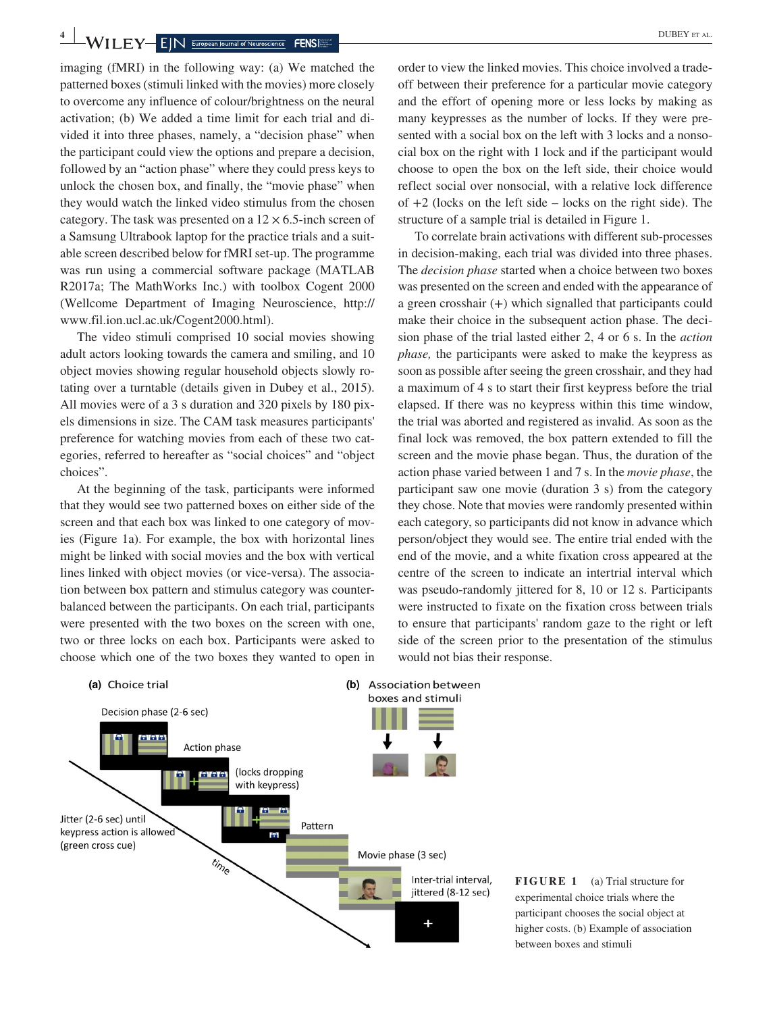**4 WII** FY FIN European Journal of Neuroscience FENS

imaging (fMRI) in the following way: (a) We matched the patterned boxes (stimuli linked with the movies) more closely to overcome any influence of colour/brightness on the neural activation; (b) We added a time limit for each trial and divided it into three phases, namely, a "decision phase" when the participant could view the options and prepare a decision, followed by an "action phase" where they could press keys to unlock the chosen box, and finally, the "movie phase" when they would watch the linked video stimulus from the chosen category. The task was presented on a  $12 \times 6.5$ -inch screen of a Samsung Ultrabook laptop for the practice trials and a suitable screen described below for fMRI set-up. The programme was run using a commercial software package (MATLAB R2017a; The MathWorks Inc.) with toolbox Cogent 2000 (Wellcome Department of Imaging Neuroscience, [http://](http://www.fil.ion.ucl.ac.uk/Cogent2000.html) [www.fil.ion.ucl.ac.uk/Cogent2000.html\)](http://www.fil.ion.ucl.ac.uk/Cogent2000.html).

The video stimuli comprised 10 social movies showing adult actors looking towards the camera and smiling, and 10 object movies showing regular household objects slowly rotating over a turntable (details given in Dubey et al., 2015). All movies were of a 3 s duration and 320 pixels by 180 pixels dimensions in size. The CAM task measures participants' preference for watching movies from each of these two categories, referred to hereafter as "social choices" and "object choices".

At the beginning of the task, participants were informed that they would see two patterned boxes on either side of the screen and that each box was linked to one category of movies (Figure 1a). For example, the box with horizontal lines might be linked with social movies and the box with vertical lines linked with object movies (or vice-versa). The association between box pattern and stimulus category was counterbalanced between the participants. On each trial, participants were presented with the two boxes on the screen with one, two or three locks on each box. Participants were asked to choose which one of the two boxes they wanted to open in

order to view the linked movies. This choice involved a tradeoff between their preference for a particular movie category and the effort of opening more or less locks by making as many keypresses as the number of locks. If they were presented with a social box on the left with 3 locks and a nonsocial box on the right with 1 lock and if the participant would choose to open the box on the left side, their choice would reflect social over nonsocial, with a relative lock difference of  $+2$  (locks on the left side – locks on the right side). The structure of a sample trial is detailed in Figure 1.

To correlate brain activations with different sub-processes in decision-making, each trial was divided into three phases. The *decision phase* started when a choice between two boxes was presented on the screen and ended with the appearance of a green crosshair (+) which signalled that participants could make their choice in the subsequent action phase. The decision phase of the trial lasted either 2, 4 or 6 s. In the *action phase,* the participants were asked to make the keypress as soon as possible after seeing the green crosshair, and they had a maximum of 4 s to start their first keypress before the trial elapsed. If there was no keypress within this time window, the trial was aborted and registered as invalid. As soon as the final lock was removed, the box pattern extended to fill the screen and the movie phase began. Thus, the duration of the action phase varied between 1 and 7 s. In the *movie phase*, the participant saw one movie (duration 3 s) from the category they chose. Note that movies were randomly presented within each category, so participants did not know in advance which person/object they would see. The entire trial ended with the end of the movie, and a white fixation cross appeared at the centre of the screen to indicate an intertrial interval which was pseudo-randomly jittered for 8, 10 or 12 s. Participants were instructed to fixate on the fixation cross between trials to ensure that participants' random gaze to the right or left side of the screen prior to the presentation of the stimulus would not bias their response.



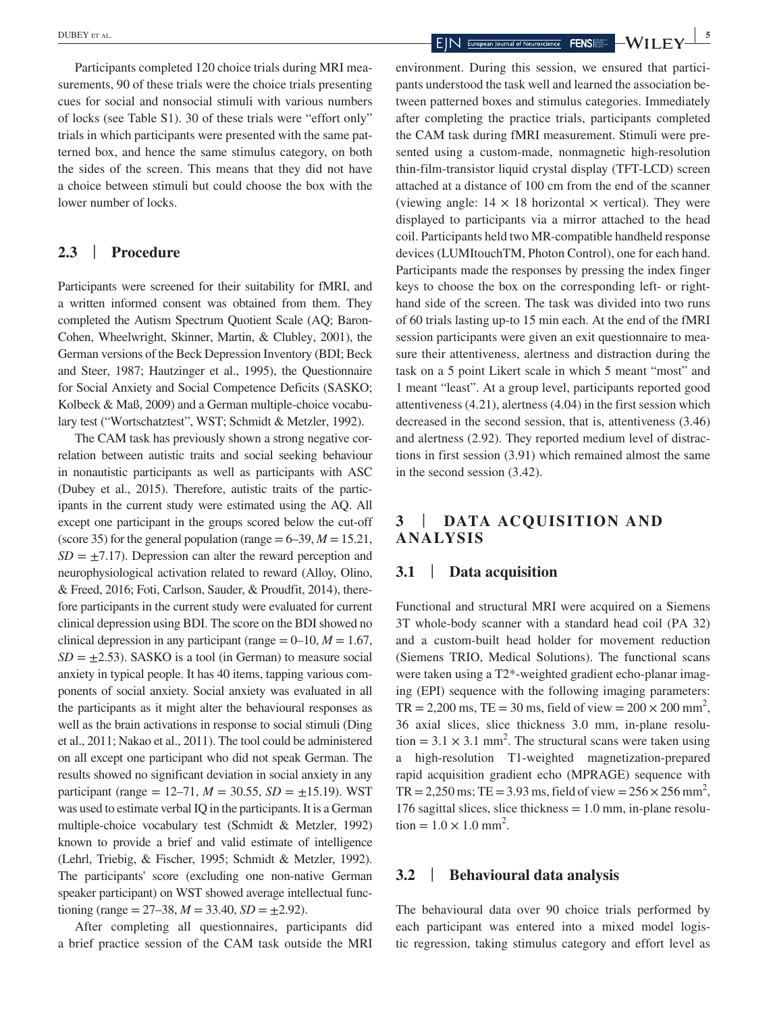Participants completed 120 choice trials during MRI measurements, 90 of these trials were the choice trials presenting cues for social and nonsocial stimuli with various numbers of locks (see Table S1). 30 of these trials were "effort only" trials in which participants were presented with the same patterned box, and hence the same stimulus category, on both the sides of the screen. This means that they did not have a choice between stimuli but could choose the box with the lower number of locks.

#### **2.3** | **Procedure**

Participants were screened for their suitability for fMRI, and a written informed consent was obtained from them. They completed the Autism Spectrum Quotient Scale (AQ; Baron-Cohen, Wheelwright, Skinner, Martin, & Clubley, 2001), the German versions of the Beck Depression Inventory (BDI; Beck and Steer, 1987; Hautzinger et al., 1995), the Questionnaire for Social Anxiety and Social Competence Deficits (SASKO; Kolbeck & Maß, 2009) and a German multiple-choice vocabulary test ("Wortschatztest", WST; Schmidt & Metzler, 1992).

The CAM task has previously shown a strong negative correlation between autistic traits and social seeking behaviour in nonautistic participants as well as participants with ASC (Dubey et al., 2015). Therefore, autistic traits of the participants in the current study were estimated using the AQ. All except one participant in the groups scored below the cut-off (score 35) for the general population (range  $= 6-39, M = 15.21,$  $SD = \pm 7.17$ . Depression can alter the reward perception and neurophysiological activation related to reward (Alloy, Olino, & Freed, 2016; Foti, Carlson, Sauder, & Proudfit, 2014), therefore participants in the current study were evaluated for current clinical depression using BDI. The score on the BDI showed no clinical depression in any participant (range  $= 0-10, M = 1.67$ ,  $SD = \pm 2.53$ ). SASKO is a tool (in German) to measure social anxiety in typical people. It has 40 items, tapping various components of social anxiety. Social anxiety was evaluated in all the participants as it might alter the behavioural responses as well as the brain activations in response to social stimuli (Ding et al., 2011; Nakao et al., 2011). The tool could be administered on all except one participant who did not speak German. The results showed no significant deviation in social anxiety in any participant (range =  $12-71$ ,  $M = 30.55$ ,  $SD = \pm 15.19$ ). WST was used to estimate verbal IQ in the participants. It is a German multiple-choice vocabulary test (Schmidt & Metzler, 1992) known to provide a brief and valid estimate of intelligence (Lehrl, Triebig, & Fischer, 1995; Schmidt & Metzler, 1992). The participants' score (excluding one non-native German speaker participant) on WST showed average intellectual functioning (range =  $27-38$ ,  $M = 33.40$ ,  $SD = \pm 2.92$ ).

After completing all questionnaires, participants did a brief practice session of the CAM task outside the MRI

environment. During this session, we ensured that participants understood the task well and learned the association between patterned boxes and stimulus categories. Immediately after completing the practice trials, participants completed the CAM task during fMRI measurement. Stimuli were presented using a custom-made, nonmagnetic high-resolution thin-film-transistor liquid crystal display (TFT-LCD) screen attached at a distance of 100 cm from the end of the scanner (viewing angle:  $14 \times 18$  horizontal  $\times$  vertical). They were displayed to participants via a mirror attached to the head coil. Participants held two MR-compatible handheld response devices (LUMItouchTM, Photon Control), one for each hand. Participants made the responses by pressing the index finger keys to choose the box on the corresponding left- or righthand side of the screen. The task was divided into two runs of 60 trials lasting up-to 15 min each. At the end of the fMRI session participants were given an exit questionnaire to measure their attentiveness, alertness and distraction during the task on a 5 point Likert scale in which 5 meant "most" and 1 meant "least". At a group level, participants reported good attentiveness (4.21), alertness (4.04) in the first session which decreased in the second session, that is, attentiveness (3.46) and alertness (2.92). They reported medium level of distractions in first session (3.91) which remained almost the same in the second session (3.42).

# **3** | **DATA ACQUISITION AND ANALYSIS**

### **3.1** | **Data acquisition**

Functional and structural MRI were acquired on a Siemens 3T whole-body scanner with a standard head coil (PA 32) and a custom-built head holder for movement reduction (Siemens TRIO, Medical Solutions). The functional scans were taken using a T2\*-weighted gradient echo-planar imaging (EPI) sequence with the following imaging parameters:  $TR = 2,200 \text{ ms}, TE = 30 \text{ ms}, field of view = 200 \times 200 \text{ mm}^2,$ 36 axial slices, slice thickness 3.0 mm, in-plane resolu- $\text{tion} = 3.1 \times 3.1 \text{ mm}^2$ . The structural scans were taken using a high-resolution T1-weighted magnetization-prepared rapid acquisition gradient echo (MPRAGE) sequence with TR = 2,250 ms; TE = 3.93 ms, field of view =  $256 \times 256$  mm<sup>2</sup>, 176 sagittal slices, slice thickness  $= 1.0$  mm, in-plane resolu- $\text{tion} = 1.0 \times 1.0 \text{ mm}^2.$ 

### **3.2** | **Behavioural data analysis**

The behavioural data over 90 choice trials performed by each participant was entered into a mixed model logistic regression, taking stimulus category and effort level as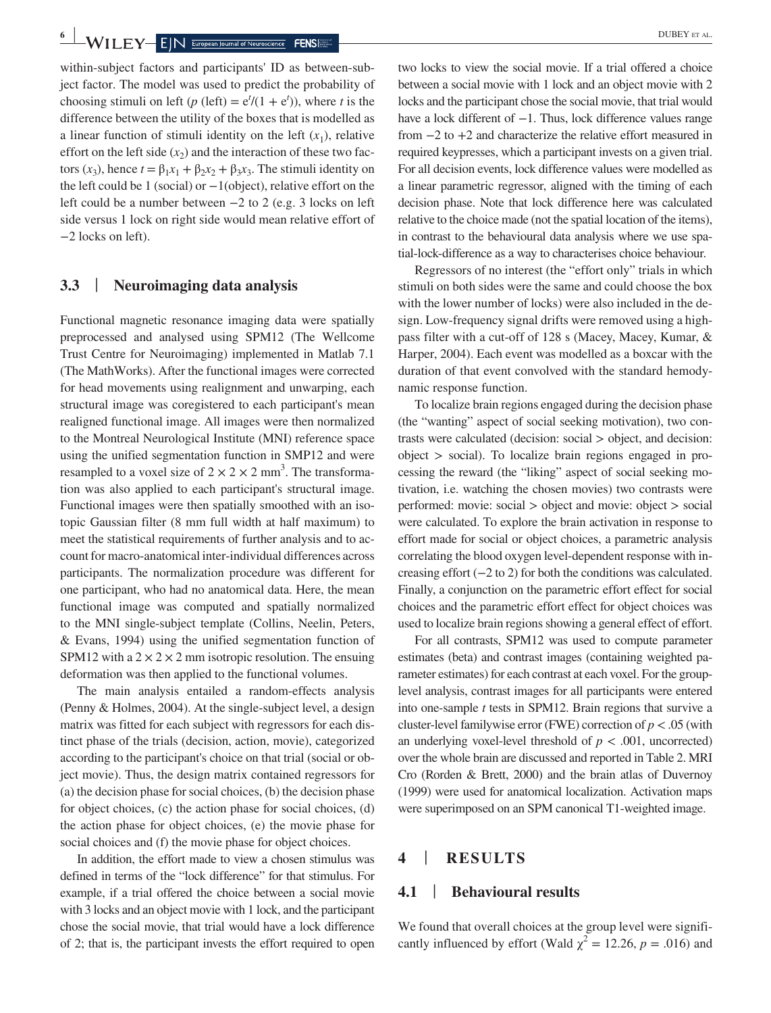**6 WILEY EIN** European Journal of Neuroscience **FENS** 

within-subject factors and participants' ID as between-subject factor. The model was used to predict the probability of choosing stimuli on left ( $p$  (left) =  $e^{t}/(1 + e^{t})$ ), where *t* is the difference between the utility of the boxes that is modelled as a linear function of stimuli identity on the left  $(x_1)$ , relative effort on the left side  $(x_2)$  and the interaction of these two factors  $(x_3)$ , hence  $t = \beta_1 x_1 + \beta_2 x_2 + \beta_3 x_3$ . The stimuli identity on the left could be 1 (social) or  $-1$ (object), relative effort on the left could be a number between −2 to 2 (e.g. 3 locks on left side versus 1 lock on right side would mean relative effort of −2 locks on left).

### **3.3** | **Neuroimaging data analysis**

Functional magnetic resonance imaging data were spatially preprocessed and analysed using SPM12 (The Wellcome Trust Centre for Neuroimaging) implemented in Matlab 7.1 (The MathWorks). After the functional images were corrected for head movements using realignment and unwarping, each structural image was coregistered to each participant's mean realigned functional image. All images were then normalized to the Montreal Neurological Institute (MNI) reference space using the unified segmentation function in SMP12 and were resampled to a voxel size of  $2 \times 2 \times 2$  mm<sup>3</sup>. The transformation was also applied to each participant's structural image. Functional images were then spatially smoothed with an isotopic Gaussian filter (8 mm full width at half maximum) to meet the statistical requirements of further analysis and to account for macro-anatomical inter-individual differences across participants. The normalization procedure was different for one participant, who had no anatomical data. Here, the mean functional image was computed and spatially normalized to the MNI single-subject template (Collins, Neelin, Peters, & Evans, 1994) using the unified segmentation function of SPM12 with a  $2 \times 2 \times 2$  mm isotropic resolution. The ensuing deformation was then applied to the functional volumes.

The main analysis entailed a random-effects analysis (Penny & Holmes, 2004). At the single-subject level, a design matrix was fitted for each subject with regressors for each distinct phase of the trials (decision, action, movie), categorized according to the participant's choice on that trial (social or object movie). Thus, the design matrix contained regressors for (a) the decision phase for social choices, (b) the decision phase for object choices, (c) the action phase for social choices, (d) the action phase for object choices, (e) the movie phase for social choices and (f) the movie phase for object choices.

In addition, the effort made to view a chosen stimulus was defined in terms of the "lock difference" for that stimulus. For example, if a trial offered the choice between a social movie with 3 locks and an object movie with 1 lock, and the participant chose the social movie, that trial would have a lock difference of 2; that is, the participant invests the effort required to open two locks to view the social movie. If a trial offered a choice between a social movie with 1 lock and an object movie with 2 locks and the participant chose the social movie, that trial would have a lock different of −1. Thus, lock difference values range from −2 to +2 and characterize the relative effort measured in required keypresses, which a participant invests on a given trial. For all decision events, lock difference values were modelled as a linear parametric regressor, aligned with the timing of each decision phase. Note that lock difference here was calculated relative to the choice made (not the spatial location of the items), in contrast to the behavioural data analysis where we use spatial-lock-difference as a way to characterises choice behaviour.

Regressors of no interest (the "effort only" trials in which stimuli on both sides were the same and could choose the box with the lower number of locks) were also included in the design. Low-frequency signal drifts were removed using a highpass filter with a cut-off of 128 s (Macey, Macey, Kumar, & Harper, 2004). Each event was modelled as a boxcar with the duration of that event convolved with the standard hemodynamic response function.

To localize brain regions engaged during the decision phase (the "wanting" aspect of social seeking motivation), two contrasts were calculated (decision: social > object, and decision:  $object$   $>$  social). To localize brain regions engaged in processing the reward (the "liking" aspect of social seeking motivation, i.e. watching the chosen movies) two contrasts were performed: movie: social > object and movie: object > social were calculated. To explore the brain activation in response to effort made for social or object choices, a parametric analysis correlating the blood oxygen level-dependent response with increasing effort (−2 to 2) for both the conditions was calculated. Finally, a conjunction on the parametric effort effect for social choices and the parametric effort effect for object choices was used to localize brain regions showing a general effect of effort.

For all contrasts, SPM12 was used to compute parameter estimates (beta) and contrast images (containing weighted parameter estimates) for each contrast at each voxel. For the grouplevel analysis, contrast images for all participants were entered into one-sample *t* tests in SPM12. Brain regions that survive a cluster-level familywise error (FWE) correction of *p* < .05 (with an underlying voxel-level threshold of  $p < .001$ , uncorrected) over the whole brain are discussed and reported in Table 2. MRI Cro (Rorden & Brett, 2000) and the brain atlas of Duvernoy (1999) were used for anatomical localization. Activation maps were superimposed on an SPM canonical T1-weighted image.

## **4** | **RESULTS**

#### **4.1** | **Behavioural results**

We found that overall choices at the group level were significantly influenced by effort (Wald  $\chi^2 = 12.26$ ,  $p = .016$ ) and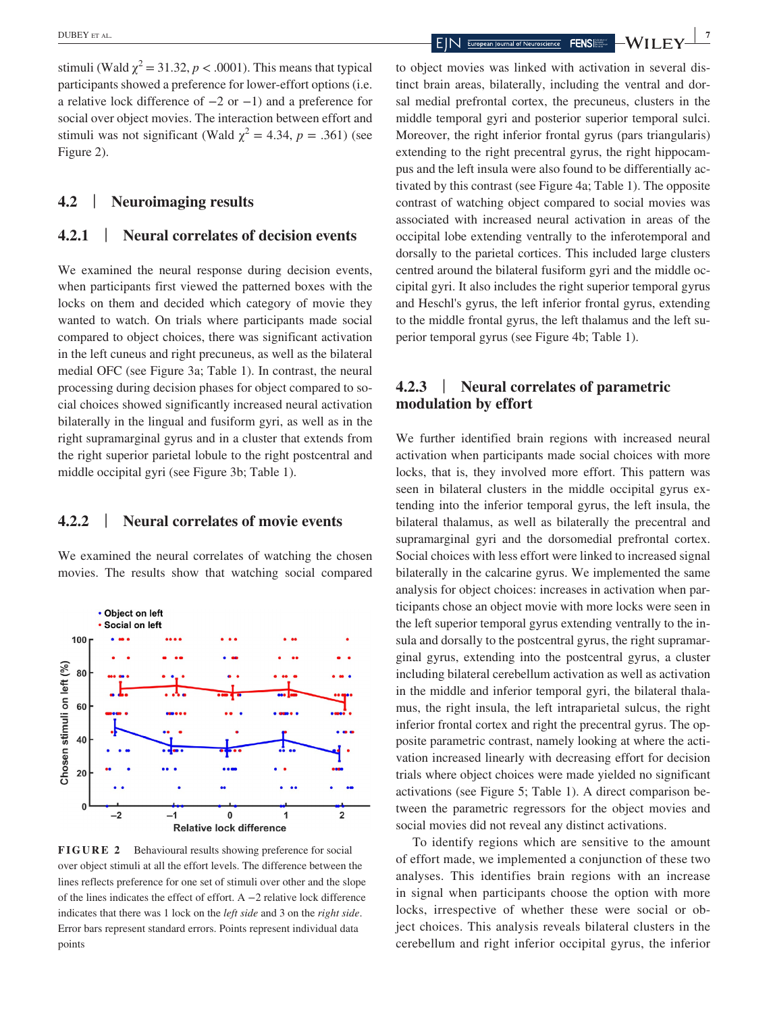stimuli (Wald  $\chi^2$  = 31.32, *p* < .0001). This means that typical participants showed a preference for lower-effort options (i.e. a relative lock difference of −2 or −1) and a preference for social over object movies. The interaction between effort and stimuli was not significant (Wald  $\chi^2 = 4.34$ ,  $p = .361$ ) (see Figure 2).

#### **4.2** | **Neuroimaging results**

### **4.2.1** | **Neural correlates of decision events**

We examined the neural response during decision events, when participants first viewed the patterned boxes with the locks on them and decided which category of movie they wanted to watch. On trials where participants made social compared to object choices, there was significant activation in the left cuneus and right precuneus, as well as the bilateral medial OFC (see Figure 3a; Table 1). In contrast, the neural processing during decision phases for object compared to social choices showed significantly increased neural activation bilaterally in the lingual and fusiform gyri, as well as in the right supramarginal gyrus and in a cluster that extends from the right superior parietal lobule to the right postcentral and middle occipital gyri (see Figure 3b; Table 1).

#### **4.2.2** | **Neural correlates of movie events**

We examined the neural correlates of watching the chosen movies. The results show that watching social compared



**FIGURE 2** Behavioural results showing preference for social over object stimuli at all the effort levels. The difference between the lines reflects preference for one set of stimuli over other and the slope of the lines indicates the effect of effort. A −2 relative lock difference indicates that there was 1 lock on the *left side* and 3 on the *right side*. Error bars represent standard errors. Points represent individual data points

to object movies was linked with activation in several distinct brain areas, bilaterally, including the ventral and dorsal medial prefrontal cortex, the precuneus, clusters in the middle temporal gyri and posterior superior temporal sulci. Moreover, the right inferior frontal gyrus (pars triangularis) extending to the right precentral gyrus, the right hippocampus and the left insula were also found to be differentially activated by this contrast (see Figure 4a; Table 1). The opposite contrast of watching object compared to social movies was associated with increased neural activation in areas of the occipital lobe extending ventrally to the inferotemporal and dorsally to the parietal cortices. This included large clusters centred around the bilateral fusiform gyri and the middle occipital gyri. It also includes the right superior temporal gyrus and Heschl's gyrus, the left inferior frontal gyrus, extending to the middle frontal gyrus, the left thalamus and the left superior temporal gyrus (see Figure 4b; Table 1).

# **4.2.3** | **Neural correlates of parametric modulation by effort**

We further identified brain regions with increased neural activation when participants made social choices with more locks, that is, they involved more effort. This pattern was seen in bilateral clusters in the middle occipital gyrus extending into the inferior temporal gyrus, the left insula, the bilateral thalamus, as well as bilaterally the precentral and supramarginal gyri and the dorsomedial prefrontal cortex. Social choices with less effort were linked to increased signal bilaterally in the calcarine gyrus. We implemented the same analysis for object choices: increases in activation when participants chose an object movie with more locks were seen in the left superior temporal gyrus extending ventrally to the insula and dorsally to the postcentral gyrus, the right supramarginal gyrus, extending into the postcentral gyrus, a cluster including bilateral cerebellum activation as well as activation in the middle and inferior temporal gyri, the bilateral thalamus, the right insula, the left intraparietal sulcus, the right inferior frontal cortex and right the precentral gyrus. The opposite parametric contrast, namely looking at where the activation increased linearly with decreasing effort for decision trials where object choices were made yielded no significant activations (see Figure 5; Table 1). A direct comparison between the parametric regressors for the object movies and social movies did not reveal any distinct activations.

To identify regions which are sensitive to the amount of effort made, we implemented a conjunction of these two analyses. This identifies brain regions with an increase in signal when participants choose the option with more locks, irrespective of whether these were social or object choices. This analysis reveals bilateral clusters in the cerebellum and right inferior occipital gyrus, the inferior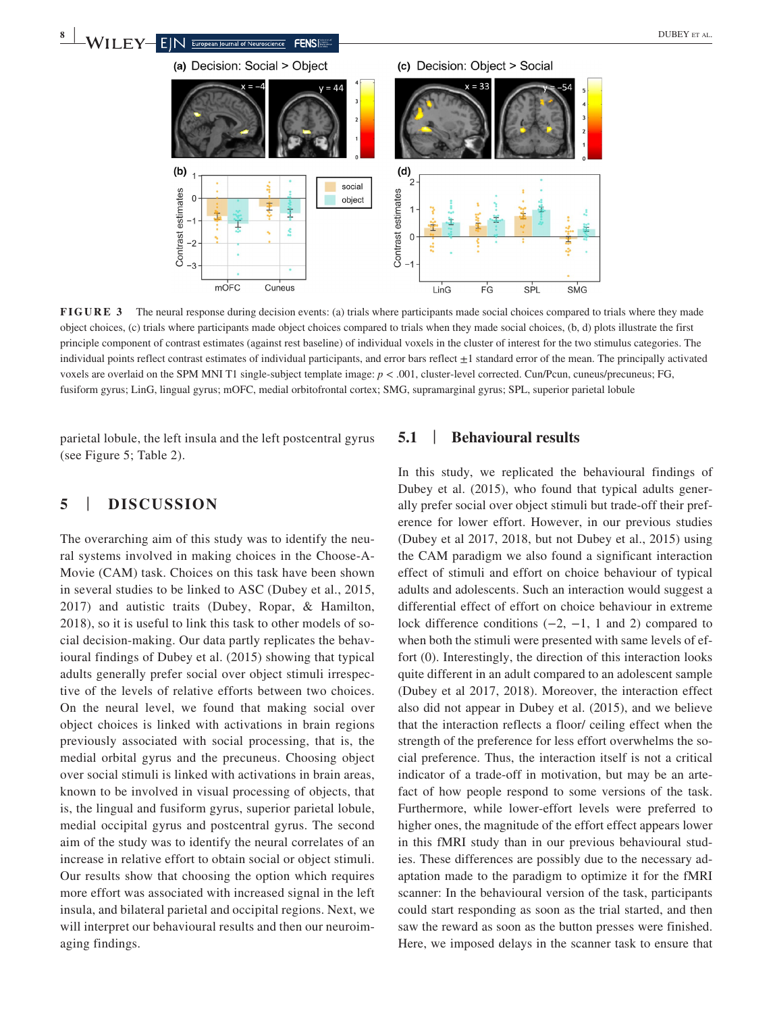

**FIGURE 3** The neural response during decision events: (a) trials where participants made social choices compared to trials where they made object choices, (c) trials where participants made object choices compared to trials when they made social choices, (b, d) plots illustrate the first principle component of contrast estimates (against rest baseline) of individual voxels in the cluster of interest for the two stimulus categories. The individual points reflect contrast estimates of individual participants, and error bars reflect ±1 standard error of the mean. The principally activated voxels are overlaid on the SPM MNI T1 single-subject template image: *p* < .001, cluster-level corrected. Cun/Pcun, cuneus/precuneus; FG, fusiform gyrus; LinG, lingual gyrus; mOFC, medial orbitofrontal cortex; SMG, supramarginal gyrus; SPL, superior parietal lobule

LinG

parietal lobule, the left insula and the left postcentral gyrus (see Figure 5; Table 2).

 $-3$ 

mOFC

Cuneus

### **5** | **DISCUSSION**

The overarching aim of this study was to identify the neural systems involved in making choices in the Choose-A-Movie (CAM) task. Choices on this task have been shown in several studies to be linked to ASC (Dubey et al., 2015, 2017) and autistic traits (Dubey, Ropar, & Hamilton, 2018), so it is useful to link this task to other models of social decision-making. Our data partly replicates the behavioural findings of Dubey et al. (2015) showing that typical adults generally prefer social over object stimuli irrespective of the levels of relative efforts between two choices. On the neural level, we found that making social over object choices is linked with activations in brain regions previously associated with social processing, that is, the medial orbital gyrus and the precuneus. Choosing object over social stimuli is linked with activations in brain areas, known to be involved in visual processing of objects, that is, the lingual and fusiform gyrus, superior parietal lobule, medial occipital gyrus and postcentral gyrus. The second aim of the study was to identify the neural correlates of an increase in relative effort to obtain social or object stimuli. Our results show that choosing the option which requires more effort was associated with increased signal in the left insula, and bilateral parietal and occipital regions. Next, we will interpret our behavioural results and then our neuroimaging findings.

### **5.1** | **Behavioural results**

FG

SPL

**SMG** 

In this study, we replicated the behavioural findings of Dubey et al. (2015), who found that typical adults generally prefer social over object stimuli but trade-off their preference for lower effort. However, in our previous studies (Dubey et al 2017, 2018, but not Dubey et al., 2015) using the CAM paradigm we also found a significant interaction effect of stimuli and effort on choice behaviour of typical adults and adolescents. Such an interaction would suggest a differential effect of effort on choice behaviour in extreme lock difference conditions  $(-2, -1, 1, 1)$  and 2) compared to when both the stimuli were presented with same levels of effort (0). Interestingly, the direction of this interaction looks quite different in an adult compared to an adolescent sample (Dubey et al 2017, 2018). Moreover, the interaction effect also did not appear in Dubey et al. (2015), and we believe that the interaction reflects a floor/ ceiling effect when the strength of the preference for less effort overwhelms the social preference. Thus, the interaction itself is not a critical indicator of a trade-off in motivation, but may be an artefact of how people respond to some versions of the task. Furthermore, while lower-effort levels were preferred to higher ones, the magnitude of the effort effect appears lower in this fMRI study than in our previous behavioural studies. These differences are possibly due to the necessary adaptation made to the paradigm to optimize it for the fMRI scanner: In the behavioural version of the task, participants could start responding as soon as the trial started, and then saw the reward as soon as the button presses were finished. Here, we imposed delays in the scanner task to ensure that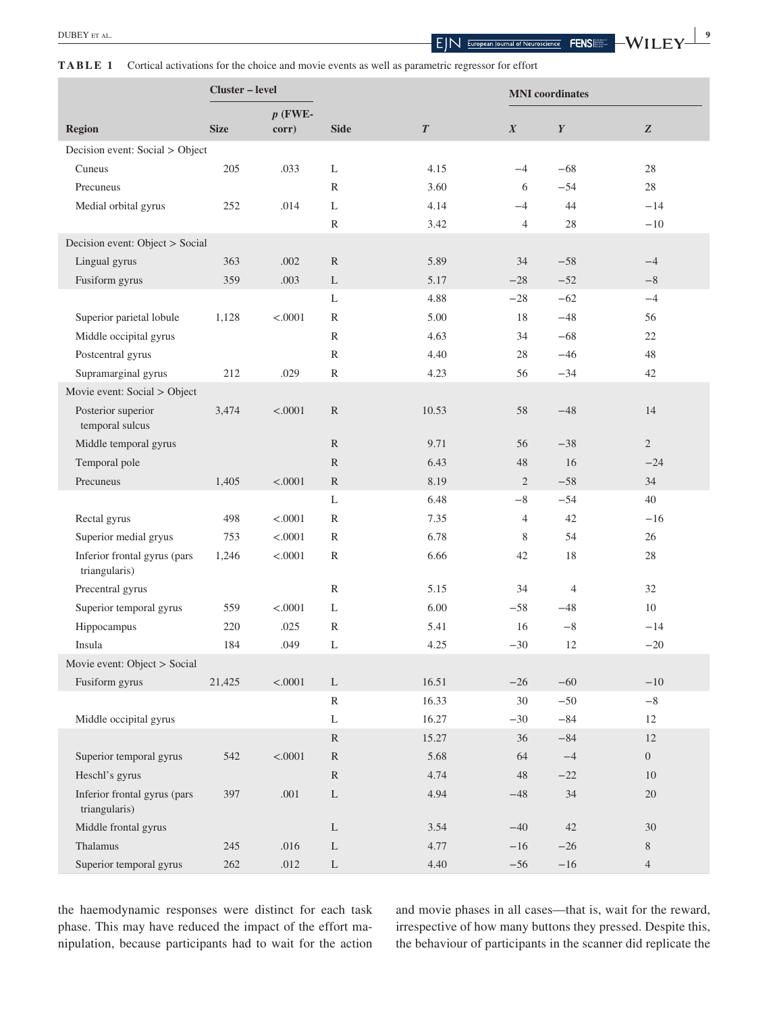**TABLE 1** Cortical activations for the choice and movie events as well as parametric regressor for effort

|                                               | Cluster – level                 |           |               |                  | <b>MNI</b> coordinates |                  |                |  |
|-----------------------------------------------|---------------------------------|-----------|---------------|------------------|------------------------|------------------|----------------|--|
|                                               |                                 | $p$ (FWE- |               |                  |                        |                  |                |  |
| <b>Region</b>                                 | <b>Size</b>                     | corr)     | <b>Side</b>   | $\boldsymbol{T}$ | $\boldsymbol{X}$       | $\boldsymbol{Y}$ | Z              |  |
|                                               | Decision event: Social > Object |           |               |                  |                        |                  |                |  |
| Cuneus                                        | 205                             | .033      | L             | 4.15             | $-4$                   | $-68$            | $28\,$         |  |
| Precuneus                                     |                                 |           | $\mathbb{R}$  | 3.60             | 6                      | $-54$            | 28             |  |
| Medial orbital gyrus                          | 252                             | .014      | L             | 4.14             | $-4$                   | 44               | $-14$          |  |
|                                               |                                 |           | R             | 3.42             | $\overline{4}$         | 28               | $-10$          |  |
| Decision event: Object > Social               |                                 |           |               |                  |                        |                  |                |  |
| Lingual gyrus                                 | 363                             | $.002$    | ${\mathbb R}$ | 5.89             | 34                     | $-58$            | $-4$           |  |
| Fusiform gyrus                                | 359                             | .003      | L             | 5.17             | $-28$                  | $-52$            | $-8$           |  |
|                                               |                                 |           | L             | 4.88             | $-28$                  | $-62$            | $-4$           |  |
| Superior parietal lobule                      | 1,128                           | < .0001   | R             | 5.00             | 18                     | $-48$            | 56             |  |
| Middle occipital gyrus                        |                                 |           | R             | 4.63             | 34                     | $-68$            | 22             |  |
| Postcentral gyrus                             |                                 |           | $\mathbb{R}$  | 4.40             | 28                     | $-46$            | 48             |  |
| Supramarginal gyrus                           | 212                             | .029      | $\mathbb{R}$  | 4.23             | 56                     | $-34$            | 42             |  |
| Movie event: Social > Object                  |                                 |           |               |                  |                        |                  |                |  |
| Posterior superior<br>temporal sulcus         | 3,474                           | < .0001   | R             | 10.53            | 58                     | $-48$            | 14             |  |
| Middle temporal gyrus                         |                                 |           | ${\mathbb R}$ | 9.71             | 56                     | $-38$            | 2              |  |
| Temporal pole                                 |                                 |           | $\mathbb{R}$  | 6.43             | 48                     | 16               | $-24$          |  |
| Precuneus                                     | 1,405                           | < .0001   | $\mathbb{R}$  | 8.19             | $\mathfrak{2}$         | $-58$            | 34             |  |
|                                               |                                 |           | L             | 6.48             | $-8$                   | $-54$            | 40             |  |
| Rectal gyrus                                  | 498                             | < .0001   | R             | 7.35             | $\overline{4}$         | 42               | $-16$          |  |
| Superior medial gryus                         | 753                             | < .0001   | R             | 6.78             | 8                      | 54               | 26             |  |
| Inferior frontal gyrus (pars                  | 1,246                           | < .0001   | R             | 6.66             | 42                     | 18               | 28             |  |
| triangularis)                                 |                                 |           |               |                  |                        |                  |                |  |
| Precentral gyrus                              |                                 |           | $\mathbb{R}$  | 5.15             | 34                     | $\overline{4}$   | 32             |  |
| Superior temporal gyrus                       | 559                             | < .0001   | L             | 6.00             | $-58$                  | $-48$            | 10             |  |
| Hippocampus                                   | 220                             | .025      | R             | 5.41             | 16                     | $-8$             | $-14$          |  |
| Insula                                        | 184                             | .049      | L             | 4.25             | $-30$                  | 12               | $-20$          |  |
| Movie event: Object > Social                  |                                 |           |               |                  |                        |                  |                |  |
| Fusiform gyrus                                | 21,425                          | < .0001   | $\mathbf{L}$  | 16.51            | $-26$                  | $-60$            | $-10$          |  |
|                                               |                                 |           | $\mathbb{R}$  | 16.33            | 30                     | $-50$            | $-8$           |  |
| Middle occipital gyrus                        |                                 |           | L             | 16.27            | $-30$                  | $-84$            | 12             |  |
|                                               |                                 |           | R             | 15.27            | 36                     | $-84$            | 12             |  |
| Superior temporal gyrus                       | 542                             | < .0001   | ${\mathbb R}$ | 5.68             | 64                     | $-4$             | $\theta$       |  |
| Heschl's gyrus                                |                                 |           | ${\mathbb R}$ | 4.74             | 48                     | $-22$            | $10\,$         |  |
| Inferior frontal gyrus (pars<br>triangularis) | 397                             | $.001$    | L             | 4.94             | $-48$                  | 34               | $20\,$         |  |
| Middle frontal gyrus                          |                                 |           | L             | 3.54             | $-40$                  | 42               | 30             |  |
| Thalamus                                      | 245                             | .016      | L             | 4.77             | $-16$                  | $-26$            | 8              |  |
| Superior temporal gyrus                       | 262                             | .012      | $\Gamma$      | 4.40             | $-56$                  | $-16$            | $\overline{4}$ |  |

the haemodynamic responses were distinct for each task phase. This may have reduced the impact of the effort manipulation, because participants had to wait for the action

and movie phases in all cases—that is, wait for the reward, irrespective of how many buttons they pressed. Despite this, the behaviour of participants in the scanner did replicate the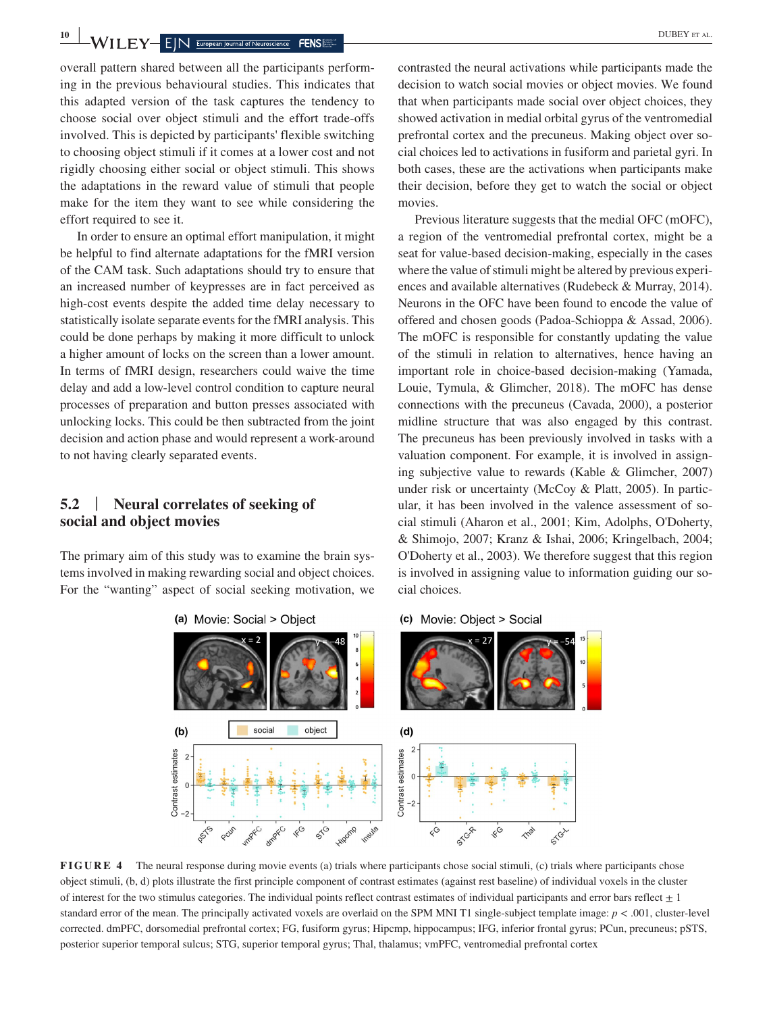**10 I I I I EV EX EIN European Journal of Neuroscience FENS** 

overall pattern shared between all the participants performing in the previous behavioural studies. This indicates that this adapted version of the task captures the tendency to choose social over object stimuli and the effort trade-offs involved. This is depicted by participants' flexible switching to choosing object stimuli if it comes at a lower cost and not rigidly choosing either social or object stimuli. This shows the adaptations in the reward value of stimuli that people make for the item they want to see while considering the effort required to see it.

In order to ensure an optimal effort manipulation, it might be helpful to find alternate adaptations for the fMRI version of the CAM task. Such adaptations should try to ensure that an increased number of keypresses are in fact perceived as high-cost events despite the added time delay necessary to statistically isolate separate events for the fMRI analysis. This could be done perhaps by making it more difficult to unlock a higher amount of locks on the screen than a lower amount. In terms of fMRI design, researchers could waive the time delay and add a low-level control condition to capture neural processes of preparation and button presses associated with unlocking locks. This could be then subtracted from the joint decision and action phase and would represent a work-around to not having clearly separated events.

### **5.2** | **Neural correlates of seeking of social and object movies**

The primary aim of this study was to examine the brain systems involved in making rewarding social and object choices. For the "wanting" aspect of social seeking motivation, we contrasted the neural activations while participants made the decision to watch social movies or object movies. We found that when participants made social over object choices, they showed activation in medial orbital gyrus of the ventromedial prefrontal cortex and the precuneus. Making object over social choices led to activations in fusiform and parietal gyri. In both cases, these are the activations when participants make their decision, before they get to watch the social or object movies.

Previous literature suggests that the medial OFC (mOFC), a region of the ventromedial prefrontal cortex, might be a seat for value-based decision-making, especially in the cases where the value of stimuli might be altered by previous experiences and available alternatives (Rudebeck & Murray, 2014). Neurons in the OFC have been found to encode the value of offered and chosen goods (Padoa-Schioppa & Assad, 2006). The mOFC is responsible for constantly updating the value of the stimuli in relation to alternatives, hence having an important role in choice-based decision-making (Yamada, Louie, Tymula, & Glimcher, 2018). The mOFC has dense connections with the precuneus (Cavada, 2000), a posterior midline structure that was also engaged by this contrast. The precuneus has been previously involved in tasks with a valuation component. For example, it is involved in assigning subjective value to rewards (Kable & Glimcher, 2007) under risk or uncertainty (McCoy & Platt, 2005). In particular, it has been involved in the valence assessment of social stimuli (Aharon et al., 2001; Kim, Adolphs, O'Doherty, & Shimojo, 2007; Kranz & Ishai, 2006; Kringelbach, 2004; O'Doherty et al., 2003). We therefore suggest that this region is involved in assigning value to information guiding our social choices.

#### (c) Movie: Object > Social



**FIGURE 4** The neural response during movie events (a) trials where participants chose social stimuli, (c) trials where participants chose object stimuli, (b, d) plots illustrate the first principle component of contrast estimates (against rest baseline) of individual voxels in the cluster of interest for the two stimulus categories. The individual points reflect contrast estimates of individual participants and error bars reflect  $\pm 1$ standard error of the mean. The principally activated voxels are overlaid on the SPM MNI T1 single-subject template image: *p* < .001, cluster-level corrected. dmPFC, dorsomedial prefrontal cortex; FG, fusiform gyrus; Hipcmp, hippocampus; IFG, inferior frontal gyrus; PCun, precuneus; pSTS, posterior superior temporal sulcus; STG, superior temporal gyrus; Thal, thalamus; vmPFC, ventromedial prefrontal cortex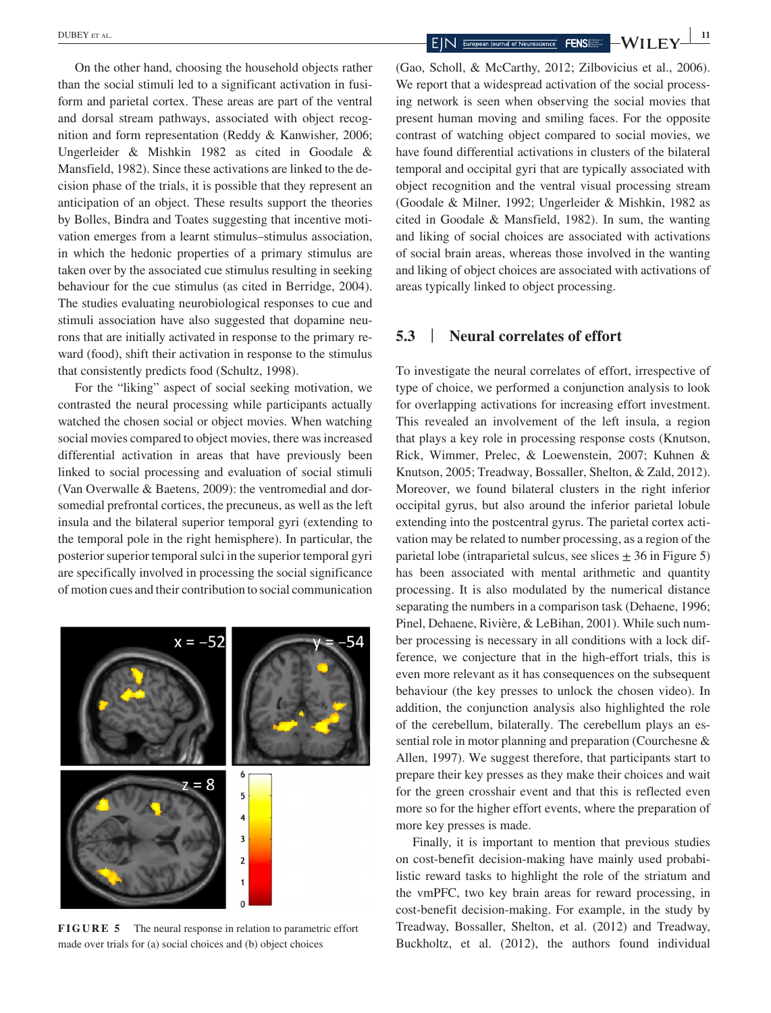On the other hand, choosing the household objects rather than the social stimuli led to a significant activation in fusiform and parietal cortex. These areas are part of the ventral and dorsal stream pathways, associated with object recognition and form representation (Reddy & Kanwisher, 2006; Ungerleider & Mishkin 1982 as cited in Goodale & Mansfield, 1982). Since these activations are linked to the decision phase of the trials, it is possible that they represent an anticipation of an object. These results support the theories by Bolles, Bindra and Toates suggesting that incentive motivation emerges from a learnt stimulus–stimulus association, in which the hedonic properties of a primary stimulus are taken over by the associated cue stimulus resulting in seeking behaviour for the cue stimulus (as cited in Berridge, 2004). The studies evaluating neurobiological responses to cue and stimuli association have also suggested that dopamine neurons that are initially activated in response to the primary reward (food), shift their activation in response to the stimulus that consistently predicts food (Schultz, 1998).

For the "liking" aspect of social seeking motivation, we contrasted the neural processing while participants actually watched the chosen social or object movies. When watching social movies compared to object movies, there was increased differential activation in areas that have previously been linked to social processing and evaluation of social stimuli (Van Overwalle & Baetens, 2009): the ventromedial and dorsomedial prefrontal cortices, the precuneus, as well as the left insula and the bilateral superior temporal gyri (extending to the temporal pole in the right hemisphere). In particular, the posterior superior temporal sulci in the superior temporal gyri are specifically involved in processing the social significance of motion cues and their contribution to social communication



**FIGURE 5** The neural response in relation to parametric effort made over trials for (a) social choices and (b) object choices

**EXECUTE ET AL. EXECUTE 2 11 EXECUTE 2 11 EXECUTE 2 11 EUPLE 2 11 EUPLE 2 11 EUPLE 2 11 EUPLE 2 11 EUPLE 2 11 EUPLE 2 11 EUPLE 2 11 EUPLE 2 11 EUPLE 2 11 EUPLE 2 11 EUP** 

(Gao, Scholl, & McCarthy, 2012; Zilbovicius et al., 2006). We report that a widespread activation of the social processing network is seen when observing the social movies that present human moving and smiling faces. For the opposite contrast of watching object compared to social movies, we have found differential activations in clusters of the bilateral temporal and occipital gyri that are typically associated with object recognition and the ventral visual processing stream (Goodale & Milner, 1992; Ungerleider & Mishkin, 1982 as cited in Goodale & Mansfield, 1982). In sum, the wanting and liking of social choices are associated with activations of social brain areas, whereas those involved in the wanting and liking of object choices are associated with activations of areas typically linked to object processing.

### **5.3** | **Neural correlates of effort**

To investigate the neural correlates of effort, irrespective of type of choice, we performed a conjunction analysis to look for overlapping activations for increasing effort investment. This revealed an involvement of the left insula, a region that plays a key role in processing response costs (Knutson, Rick, Wimmer, Prelec, & Loewenstein, 2007; Kuhnen & Knutson, 2005; Treadway, Bossaller, Shelton, & Zald, 2012). Moreover, we found bilateral clusters in the right inferior occipital gyrus, but also around the inferior parietal lobule extending into the postcentral gyrus. The parietal cortex activation may be related to number processing, as a region of the parietal lobe (intraparietal sulcus, see slices  $\pm$  36 in Figure 5) has been associated with mental arithmetic and quantity processing. It is also modulated by the numerical distance separating the numbers in a comparison task (Dehaene, 1996; Pinel, Dehaene, Rivière, & LeBihan, 2001). While such number processing is necessary in all conditions with a lock difference, we conjecture that in the high-effort trials, this is even more relevant as it has consequences on the subsequent behaviour (the key presses to unlock the chosen video). In addition, the conjunction analysis also highlighted the role of the cerebellum, bilaterally. The cerebellum plays an essential role in motor planning and preparation (Courchesne & Allen, 1997). We suggest therefore, that participants start to prepare their key presses as they make their choices and wait for the green crosshair event and that this is reflected even more so for the higher effort events, where the preparation of more key presses is made.

Finally, it is important to mention that previous studies on cost-benefit decision-making have mainly used probabilistic reward tasks to highlight the role of the striatum and the vmPFC, two key brain areas for reward processing, in cost-benefit decision-making. For example, in the study by Treadway, Bossaller, Shelton, et al. (2012) and Treadway, Buckholtz, et al. (2012), the authors found individual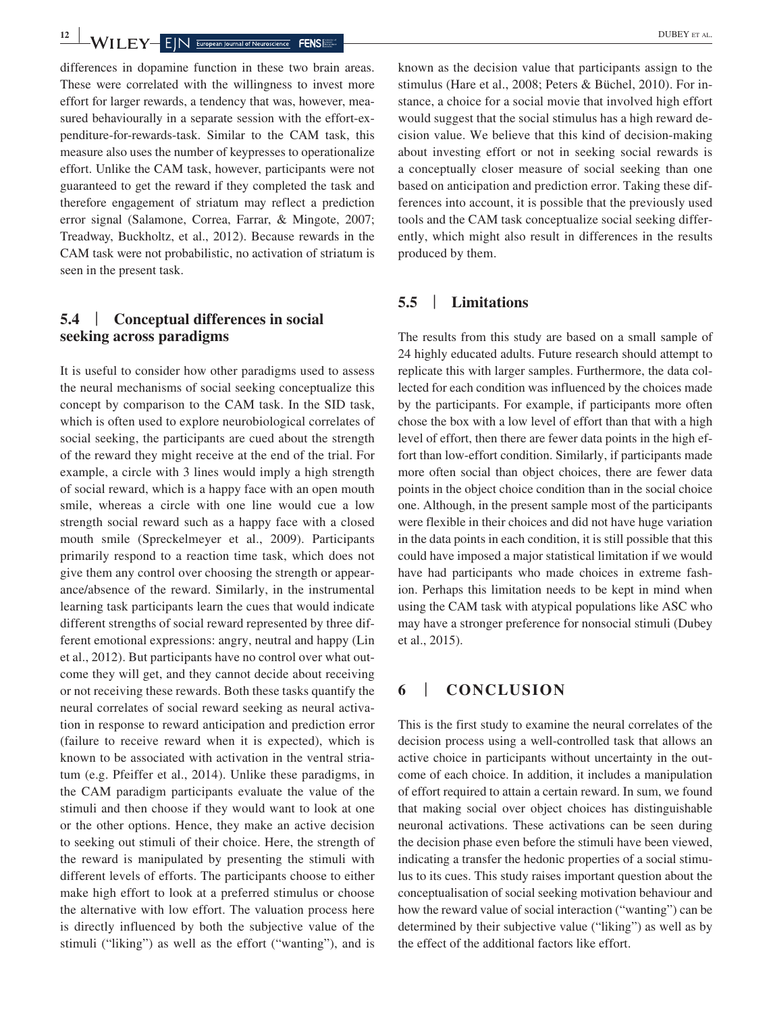**<sup>12</sup> <sup>|</sup>** DUBEY et al.

differences in dopamine function in these two brain areas. These were correlated with the willingness to invest more effort for larger rewards, a tendency that was, however, measured behaviourally in a separate session with the effort-expenditure-for-rewards-task. Similar to the CAM task, this measure also uses the number of keypresses to operationalize effort. Unlike the CAM task, however, participants were not guaranteed to get the reward if they completed the task and therefore engagement of striatum may reflect a prediction error signal (Salamone, Correa, Farrar, & Mingote, 2007; Treadway, Buckholtz, et al., 2012). Because rewards in the CAM task were not probabilistic, no activation of striatum is seen in the present task.

### **5.4** | **Conceptual differences in social seeking across paradigms**

It is useful to consider how other paradigms used to assess the neural mechanisms of social seeking conceptualize this concept by comparison to the CAM task. In the SID task, which is often used to explore neurobiological correlates of social seeking, the participants are cued about the strength of the reward they might receive at the end of the trial. For example, a circle with 3 lines would imply a high strength of social reward, which is a happy face with an open mouth smile, whereas a circle with one line would cue a low strength social reward such as a happy face with a closed mouth smile (Spreckelmeyer et al., 2009). Participants primarily respond to a reaction time task, which does not give them any control over choosing the strength or appearance/absence of the reward. Similarly, in the instrumental learning task participants learn the cues that would indicate different strengths of social reward represented by three different emotional expressions: angry, neutral and happy (Lin et al., 2012). But participants have no control over what outcome they will get, and they cannot decide about receiving or not receiving these rewards. Both these tasks quantify the neural correlates of social reward seeking as neural activation in response to reward anticipation and prediction error (failure to receive reward when it is expected), which is known to be associated with activation in the ventral striatum (e.g. Pfeiffer et al., 2014). Unlike these paradigms, in the CAM paradigm participants evaluate the value of the stimuli and then choose if they would want to look at one or the other options. Hence, they make an active decision to seeking out stimuli of their choice. Here, the strength of the reward is manipulated by presenting the stimuli with different levels of efforts. The participants choose to either make high effort to look at a preferred stimulus or choose the alternative with low effort. The valuation process here is directly influenced by both the subjective value of the stimuli ("liking") as well as the effort ("wanting"), and is known as the decision value that participants assign to the stimulus (Hare et al., 2008; Peters & Büchel, 2010). For instance, a choice for a social movie that involved high effort would suggest that the social stimulus has a high reward decision value. We believe that this kind of decision-making about investing effort or not in seeking social rewards is a conceptually closer measure of social seeking than one based on anticipation and prediction error. Taking these differences into account, it is possible that the previously used tools and the CAM task conceptualize social seeking differently, which might also result in differences in the results produced by them.

### **5.5** | **Limitations**

The results from this study are based on a small sample of 24 highly educated adults. Future research should attempt to replicate this with larger samples. Furthermore, the data collected for each condition was influenced by the choices made by the participants. For example, if participants more often chose the box with a low level of effort than that with a high level of effort, then there are fewer data points in the high effort than low-effort condition. Similarly, if participants made more often social than object choices, there are fewer data points in the object choice condition than in the social choice one. Although, in the present sample most of the participants were flexible in their choices and did not have huge variation in the data points in each condition, it is still possible that this could have imposed a major statistical limitation if we would have had participants who made choices in extreme fashion. Perhaps this limitation needs to be kept in mind when using the CAM task with atypical populations like ASC who may have a stronger preference for nonsocial stimuli (Dubey et al., 2015).

### **6** | **CONCLUSION**

This is the first study to examine the neural correlates of the decision process using a well-controlled task that allows an active choice in participants without uncertainty in the outcome of each choice. In addition, it includes a manipulation of effort required to attain a certain reward. In sum, we found that making social over object choices has distinguishable neuronal activations. These activations can be seen during the decision phase even before the stimuli have been viewed, indicating a transfer the hedonic properties of a social stimulus to its cues. This study raises important question about the conceptualisation of social seeking motivation behaviour and how the reward value of social interaction ("wanting") can be determined by their subjective value ("liking") as well as by the effect of the additional factors like effort.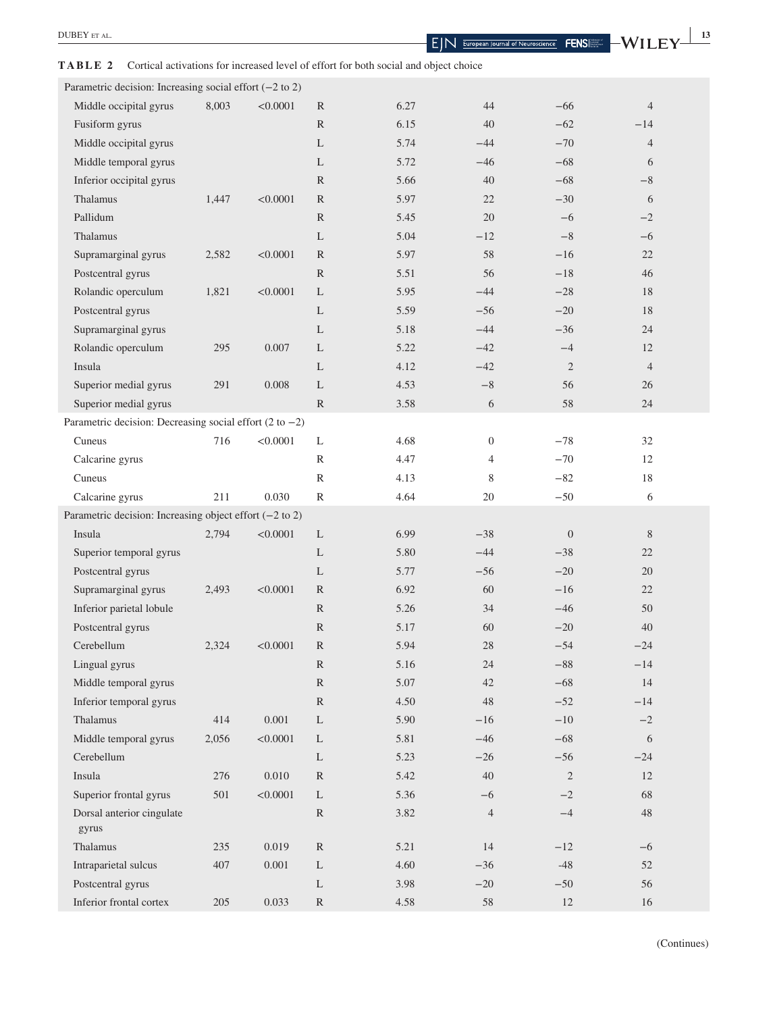### **TABLE 2** Cortical activations for increased level of effort for both social and object choice

| Parametric decision: Increasing social effort $(-2 \text{ to } 2)$ |       |           |               |      |                |                |                |  |
|--------------------------------------------------------------------|-------|-----------|---------------|------|----------------|----------------|----------------|--|
| Middle occipital gyrus                                             | 8,003 | < 0.0001  | R             | 6.27 | 44             | $-66$          | $\overline{4}$ |  |
| Fusiform gyrus                                                     |       |           | R             | 6.15 | 40             | $-62$          | $-14$          |  |
| Middle occipital gyrus                                             |       |           | L             | 5.74 | $-44$          | $-70$          | $\overline{4}$ |  |
| Middle temporal gyrus                                              |       |           | L             | 5.72 | $-46$          | $-68$          | 6              |  |
| Inferior occipital gyrus                                           |       |           | R             | 5.66 | 40             | $-68$          | $-8$           |  |
| Thalamus                                                           | 1,447 | < 0.0001  | R             | 5.97 | 22             | $-30$          | 6              |  |
| Pallidum                                                           |       |           | R             | 5.45 | 20             | $-6$           | $-2$           |  |
| Thalamus                                                           |       |           | L             | 5.04 | $-12$          | $-8$           | $-6$           |  |
| Supramarginal gyrus                                                | 2,582 | < 0.0001  | R             | 5.97 | 58             | $-16$          | 22             |  |
| Postcentral gyrus                                                  |       |           | ${\mathbb R}$ | 5.51 | 56             | $-18$          | 46             |  |
| Rolandic operculum                                                 | 1,821 | < 0.0001  | L             | 5.95 | $-44$          | $-28$          | 18             |  |
| Postcentral gyrus                                                  |       |           | L             | 5.59 | $-56$          | $-20$          | 18             |  |
| Supramarginal gyrus                                                |       |           | L             | 5.18 | $-44$          | $-36$          | 24             |  |
| Rolandic operculum                                                 | 295   | 0.007     | L             | 5.22 | $-42$          | $-4$           | 12             |  |
| Insula                                                             |       |           | L             | 4.12 | $-42$          | $\mathfrak{2}$ | $\overline{4}$ |  |
| Superior medial gyrus                                              | 291   | 0.008     | L             | 4.53 | $-8$           | 56             | 26             |  |
| Superior medial gyrus                                              |       |           | R             | 3.58 | 6              | 58             | 24             |  |
| Parametric decision: Decreasing social effort $(2 \text{ to } -2)$ |       |           |               |      |                |                |                |  |
| Cuneus                                                             | 716   | < 0.0001  | L             | 4.68 | $\mathbf{0}$   | $-78$          | 32             |  |
| Calcarine gyrus                                                    |       |           | $\mathbb{R}$  | 4.47 | $\overline{4}$ | $-70$          | 12             |  |
| Cuneus                                                             |       |           | $\mathbb{R}$  | 4.13 | 8              | $-82$          | 18             |  |
| Calcarine gyrus                                                    | 211   | 0.030     | $\mathbb{R}$  | 4.64 | 20             | $-50$          | 6              |  |
| Parametric decision: Increasing object effort $(-2 \text{ to } 2)$ |       |           |               |      |                |                |                |  |
| Insula                                                             | 2,794 | < 0.0001  | L             | 6.99 | $-38$          | $\mathbf{0}$   | 8              |  |
| Superior temporal gyrus                                            |       |           | L             | 5.80 | $-44$          | $-38$          | 22             |  |
| Postcentral gyrus                                                  |       |           | L             | 5.77 | $-56$          | $-20$          | 20             |  |
| Supramarginal gyrus                                                | 2,493 | < 0.0001  | R             | 6.92 | 60             | $-16$          | 22             |  |
| Inferior parietal lobule                                           |       |           | R             | 5.26 | 34             | $-46$          | 50             |  |
| Postcentral gyrus                                                  |       |           | $\mathbb{R}$  | 5.17 | 60             | $-20$          | 40             |  |
| Cerebellum                                                         | 2,324 | < 0.0001  | R             | 5.94 | 28             | $-54$          | $-24$          |  |
| Lingual gyrus                                                      |       |           | $\mathbb{R}$  | 5.16 | 24             | $-88$          | $-14$          |  |
| Middle temporal gyrus                                              |       |           | ${\mathbb R}$ | 5.07 | 42             | $-68$          | 14             |  |
| Inferior temporal gyrus                                            |       |           | ${\mathbb R}$ | 4.50 | 48             | $-52$          | $-14$          |  |
| Thalamus                                                           | 414   | 0.001     | $\mathbf L$   | 5.90 | $-16$          | $-10$          | $-2$           |  |
| Middle temporal gyrus                                              | 2,056 | < 0.0001  | $\mathbf{L}$  | 5.81 | $-46$          | $-68$          | $\sqrt{6}$     |  |
| Cerebellum                                                         |       |           | $\mathbf{L}$  | 5.23 | $-26$          | $-56$          | $-24$          |  |
| Insula                                                             | 276   | $0.010\,$ | $\mathbb{R}$  | 5.42 | 40             | $\sqrt{2}$     | 12             |  |
| Superior frontal gyrus                                             | 501   | < 0.0001  | L             | 5.36 | $-6$           | $-2$           | 68             |  |
| Dorsal anterior cingulate<br>gyrus                                 |       |           | ${\mathbb R}$ | 3.82 | $\overline{4}$ | $-4$           | 48             |  |
| Thalamus                                                           | 235   | 0.019     | $\mathbb{R}$  | 5.21 | 14             | $-12$          | $-6$           |  |
| Intraparietal sulcus                                               | 407   | $0.001\,$ | L             | 4.60 | $-36$          | $-48$          | 52             |  |
| Postcentral gyrus                                                  |       |           | L             | 3.98 | $-20$          | $-50$          | 56             |  |
| Inferior frontal cortex                                            | 205   | 0.033     | $\mathbb{R}$  | 4.58 | 58             | 12             | $16\,$         |  |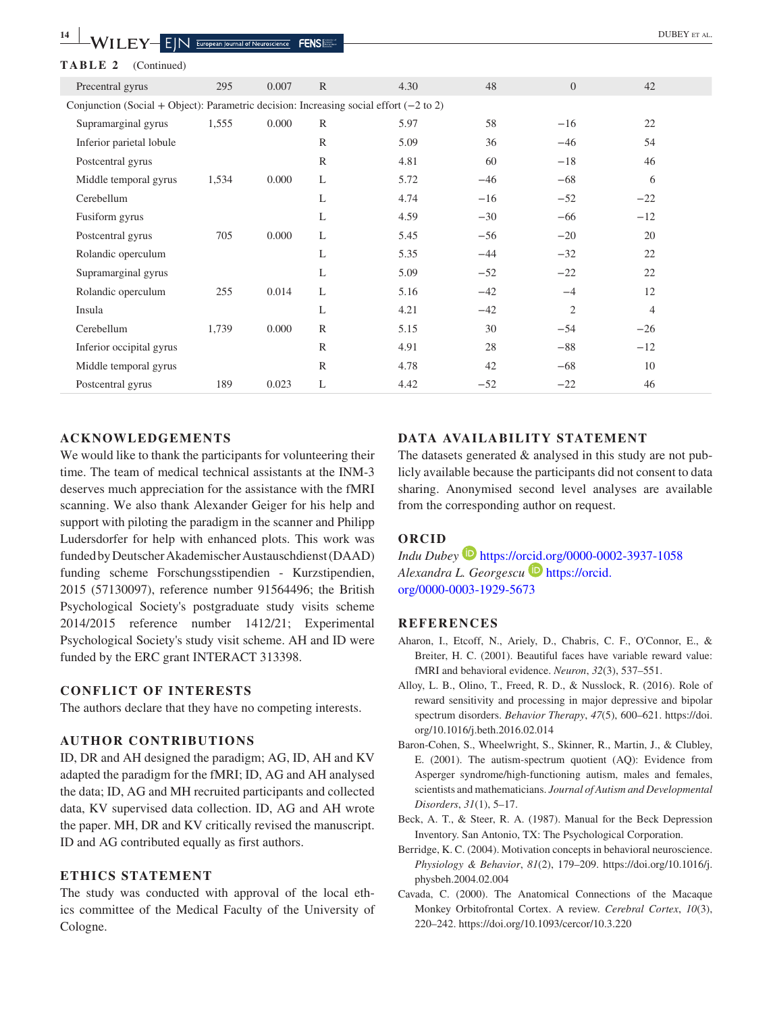| 14<br>WILEY                                                                                       | $\overline{E}$ $\overline{\text{N}}$ European Journal of Neuroscience |       | <b>FENSILL</b> |      |       |                | <b>DUBEY</b> ET AL. |  |
|---------------------------------------------------------------------------------------------------|-----------------------------------------------------------------------|-------|----------------|------|-------|----------------|---------------------|--|
| TABLE 2<br>(Continued)                                                                            |                                                                       |       |                |      |       |                |                     |  |
| Precentral gyrus                                                                                  | 295                                                                   | 0.007 | $\mathbb{R}$   | 4.30 | 48    | $\overline{0}$ | 42                  |  |
| Conjunction (Social + Object): Parametric decision: Increasing social effort $(-2 \text{ to } 2)$ |                                                                       |       |                |      |       |                |                     |  |
| Supramarginal gyrus                                                                               | 1,555                                                                 | 0.000 | $\mathbb{R}$   | 5.97 | 58    | $-16$          | 22                  |  |
| Inferior parietal lobule                                                                          |                                                                       |       | $\mathbb{R}$   | 5.09 | 36    | $-46$          | 54                  |  |
| Postcentral gyrus                                                                                 |                                                                       |       | $\mathbb{R}$   | 4.81 | 60    | $-18$          | 46                  |  |
| Middle temporal gyrus                                                                             | 1,534                                                                 | 0.000 | L              | 5.72 | $-46$ | $-68$          | 6                   |  |
| Cerebellum                                                                                        |                                                                       |       | L              | 4.74 | $-16$ | $-52$          | $-22$               |  |
| Fusiform gyrus                                                                                    |                                                                       |       | L              | 4.59 | $-30$ | $-66$          | $-12$               |  |
| Postcentral gyrus                                                                                 | 705                                                                   | 0.000 | L              | 5.45 | $-56$ | $-20$          | 20                  |  |
| Rolandic operculum                                                                                |                                                                       |       | L              | 5.35 | $-44$ | $-32$          | 22                  |  |
| Supramarginal gyrus                                                                               |                                                                       |       | L              | 5.09 | $-52$ | $-22$          | 22                  |  |
| Rolandic operculum                                                                                | 255                                                                   | 0.014 | L              | 5.16 | $-42$ | $-4$           | 12                  |  |
| Insula                                                                                            |                                                                       |       | L              | 4.21 | $-42$ | 2              | $\overline{4}$      |  |
| Cerebellum                                                                                        | 1,739                                                                 | 0.000 | $\mathbb{R}$   | 5.15 | 30    | $-54$          | $-26$               |  |
| Inferior occipital gyrus                                                                          |                                                                       |       | $\mathbb{R}$   | 4.91 | 28    | $-88$          | $-12$               |  |
| Middle temporal gyrus                                                                             |                                                                       |       | $\mathbb{R}$   | 4.78 | 42    | $-68$          | 10                  |  |
| Postcentral gyrus                                                                                 | 189                                                                   | 0.023 | L              | 4.42 | $-52$ | $-22$          | 46                  |  |

#### **ACKNOWLEDGEMENTS**

We would like to thank the participants for volunteering their time. The team of medical technical assistants at the INM-3 deserves much appreciation for the assistance with the fMRI scanning. We also thank Alexander Geiger for his help and support with piloting the paradigm in the scanner and Philipp Ludersdorfer for help with enhanced plots. This work was funded by Deutscher Akademischer Austauschdienst (DAAD) funding scheme Forschungsstipendien - Kurzstipendien, 2015 (57130097), reference number 91564496; the British Psychological Society's postgraduate study visits scheme 2014/2015 reference number 1412/21; Experimental Psychological Society's study visit scheme. AH and ID were funded by the ERC grant INTERACT 313398.

#### **CONFLICT OF INTERESTS**

The authors declare that they have no competing interests.

#### **AUTHOR CONTRIBUTIONS**

ID, DR and AH designed the paradigm; AG, ID, AH and KV adapted the paradigm for the fMRI; ID, AG and AH analysed the data; ID, AG and MH recruited participants and collected data, KV supervised data collection. ID, AG and AH wrote the paper. MH, DR and KV critically revised the manuscript. ID and AG contributed equally as first authors.

#### **ETHICS STATEMENT**

The study was conducted with approval of the local ethics committee of the Medical Faculty of the University of Cologne.

#### **DATA AVAILABILITY STATEMENT**

The datasets generated  $\&$  analysed in this study are not publicly available because the participants did not consent to data sharing. Anonymised second level analyses are available from the corresponding author on request.

### **ORCID**

*Indu Dubey* <https://orcid.org/0000-0002-3937-1058> *Alexandra L. Georgescu* [https://orcid.](https://orcid.org/0000-0003-1929-5673) [org/0000-0003-1929-5673](https://orcid.org/0000-0003-1929-5673)

#### **REFERENCES**

- Aharon, I., Etcoff, N., Ariely, D., Chabris, C. F., O'Connor, E., & Breiter, H. C. (2001). Beautiful faces have variable reward value: fMRI and behavioral evidence. *Neuron*, *32*(3), 537–551.
- Alloy, L. B., Olino, T., Freed, R. D., & Nusslock, R. (2016). Role of reward sensitivity and processing in major depressive and bipolar spectrum disorders. *Behavior Therapy*, *47*(5), 600–621. [https://doi.](https://doi.org/10.1016/j.beth.2016.02.014) [org/10.1016/j.beth.2016.02.014](https://doi.org/10.1016/j.beth.2016.02.014)
- Baron-Cohen, S., Wheelwright, S., Skinner, R., Martin, J., & Clubley, E. (2001). The autism-spectrum quotient (AQ): Evidence from Asperger syndrome/high-functioning autism, males and females, scientists and mathematicians. *Journal of Autism and Developmental Disorders*, *31*(1), 5–17.
- Beck, A. T., & Steer, R. A. (1987). Manual for the Beck Depression Inventory. San Antonio, TX: The Psychological Corporation.
- Berridge, K. C. (2004). Motivation concepts in behavioral neuroscience. *Physiology & Behavior*, *81*(2), 179–209. [https://doi.org/10.1016/j.](https://doi.org/10.1016/j.physbeh.2004.02.004) [physbeh.2004.02.004](https://doi.org/10.1016/j.physbeh.2004.02.004)
- Cavada, C. (2000). The Anatomical Connections of the Macaque Monkey Orbitofrontal Cortex. A review. *Cerebral Cortex*, *10*(3), 220–242. <https://doi.org/10.1093/cercor/10.3.220>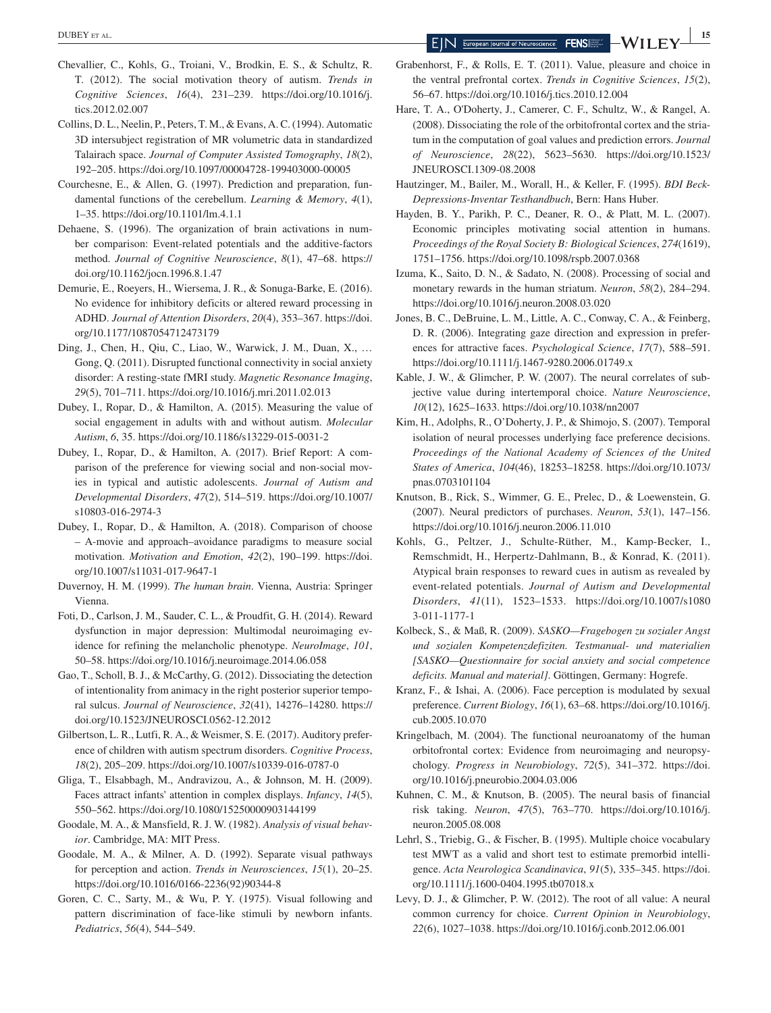**EXECUTE AL. IS SEVER AL. 15 EXECUTE 2 EXECUTE 2 EXECUTE 2 EXECUTE 2 EXECUTE 2 EXECUTE 2 EXECUTE 2 EXECUTE 2 EXECUTE 2 EXECUTE 2 EXECUTE 2 EXECUTE 2 EXECUTE 2 EXECUTE 2 EXECUTE 2 EXECUTE** 

- *Cognitive Sciences*, *16*(4), 231–239. [https://doi.org/10.1016/j.](https://doi.org/10.1016/j.tics.2012.02.007) [tics.2012.02.007](https://doi.org/10.1016/j.tics.2012.02.007)
- Collins, D. L., Neelin, P., Peters, T. M., & Evans, A. C. (1994). Automatic 3D intersubject registration of MR volumetric data in standardized Talairach space. *Journal of Computer Assisted Tomography*, *18*(2), 192–205. <https://doi.org/10.1097/00004728-199403000-00005>
- Courchesne, E., & Allen, G. (1997). Prediction and preparation, fundamental functions of the cerebellum. *Learning & Memory*, *4*(1), 1–35.<https://doi.org/10.1101/lm.4.1.1>
- Dehaene, S. (1996). The organization of brain activations in number comparison: Event-related potentials and the additive-factors method. *Journal of Cognitive Neuroscience*, *8*(1), 47–68. [https://](https://doi.org/10.1162/jocn.1996.8.1.47) [doi.org/10.1162/jocn.1996.8.1.47](https://doi.org/10.1162/jocn.1996.8.1.47)
- Demurie, E., Roeyers, H., Wiersema, J. R., & Sonuga-Barke, E. (2016). No evidence for inhibitory deficits or altered reward processing in ADHD. *Journal of Attention Disorders*, *20*(4), 353–367. [https://doi.](https://doi.org/10.1177/1087054712473179) [org/10.1177/1087054712473179](https://doi.org/10.1177/1087054712473179)
- Ding, J., Chen, H., Qiu, C., Liao, W., Warwick, J. M., Duan, X., … Gong, Q. (2011). Disrupted functional connectivity in social anxiety disorder: A resting-state fMRI study. *Magnetic Resonance Imaging*, *29*(5), 701–711.<https://doi.org/10.1016/j.mri.2011.02.013>
- Dubey, I., Ropar, D., & Hamilton, A. (2015). Measuring the value of social engagement in adults with and without autism. *Molecular Autism*, *6*, 35. <https://doi.org/10.1186/s13229-015-0031-2>
- Dubey, I., Ropar, D., & Hamilton, A. (2017). Brief Report: A comparison of the preference for viewing social and non-social movies in typical and autistic adolescents. *Journal of Autism and Developmental Disorders*, *47*(2), 514–519. [https://doi.org/10.1007/](https://doi.org/10.1007/s10803-016-2974-3) [s10803-016-2974-3](https://doi.org/10.1007/s10803-016-2974-3)
- Dubey, I., Ropar, D., & Hamilton, A. (2018). Comparison of choose – A-movie and approach–avoidance paradigms to measure social motivation. *Motivation and Emotion*, *42*(2), 190–199. [https://doi.](https://doi.org/10.1007/s11031-017-9647-1) [org/10.1007/s11031-017-9647-1](https://doi.org/10.1007/s11031-017-9647-1)
- Duvernoy, H. M. (1999). *The human brain*. Vienna, Austria: Springer Vienna.
- Foti, D., Carlson, J. M., Sauder, C. L., & Proudfit, G. H. (2014). Reward dysfunction in major depression: Multimodal neuroimaging evidence for refining the melancholic phenotype. *NeuroImage*, *101*, 50–58.<https://doi.org/10.1016/j.neuroimage.2014.06.058>
- Gao, T., Scholl, B. J., & McCarthy, G. (2012). Dissociating the detection of intentionality from animacy in the right posterior superior temporal sulcus. *Journal of Neuroscience*, *32*(41), 14276–14280. [https://](https://doi.org/10.1523/JNEUROSCI.0562-12.2012) [doi.org/10.1523/JNEUROSCI.0562-12.2012](https://doi.org/10.1523/JNEUROSCI.0562-12.2012)
- Gilbertson, L. R., Lutfi, R. A., & Weismer, S. E. (2017). Auditory preference of children with autism spectrum disorders. *Cognitive Process*, *18*(2), 205–209.<https://doi.org/10.1007/s10339-016-0787-0>
- Gliga, T., Elsabbagh, M., Andravizou, A., & Johnson, M. H. (2009). Faces attract infants' attention in complex displays. *Infancy*, *14*(5), 550–562. <https://doi.org/10.1080/15250000903144199>
- Goodale, M. A., & Mansfield, R. J. W. (1982). *Analysis of visual behavior*. Cambridge, MA: MIT Press.
- Goodale, M. A., & Milner, A. D. (1992). Separate visual pathways for perception and action. *Trends in Neurosciences*, *15*(1), 20–25. [https://doi.org/10.1016/0166-2236\(92\)90344-8](https://doi.org/10.1016/0166-2236(92)90344-8)
- Goren, C. C., Sarty, M., & Wu, P. Y. (1975). Visual following and pattern discrimination of face-like stimuli by newborn infants. *Pediatrics*, *56*(4), 544–549.
- Grabenhorst, F., & Rolls, E. T. (2011). Value, pleasure and choice in the ventral prefrontal cortex. *Trends in Cognitive Sciences*, *15*(2), 56–67.<https://doi.org/10.1016/j.tics.2010.12.004>
- Hare, T. A., O'Doherty, J., Camerer, C. F., Schultz, W., & Rangel, A. (2008). Dissociating the role of the orbitofrontal cortex and the striatum in the computation of goal values and prediction errors. *Journal of Neuroscience*, *28*(22), 5623–5630. [https://doi.org/10.1523/](https://doi.org/10.1523/JNEUROSCI.1309-08.2008) [JNEUROSCI.1309-08.2008](https://doi.org/10.1523/JNEUROSCI.1309-08.2008)
- Hautzinger, M., Bailer, M., Worall, H., & Keller, F. (1995). *BDI Beck-Depressions-Inventar Testhandbuch*, Bern: Hans Huber.
- Hayden, B. Y., Parikh, P. C., Deaner, R. O., & Platt, M. L. (2007). Economic principles motivating social attention in humans. *Proceedings of the Royal Society B: Biological Sciences*, *274*(1619), 1751–1756.<https://doi.org/10.1098/rspb.2007.0368>
- Izuma, K., Saito, D. N., & Sadato, N. (2008). Processing of social and monetary rewards in the human striatum. *Neuron*, *58*(2), 284–294. <https://doi.org/10.1016/j.neuron.2008.03.020>
- Jones, B. C., DeBruine, L. M., Little, A. C., Conway, C. A., & Feinberg, D. R. (2006). Integrating gaze direction and expression in preferences for attractive faces. *Psychological Science*, *17*(7), 588–591. <https://doi.org/10.1111/j.1467-9280.2006.01749.x>
- Kable, J. W., & Glimcher, P. W. (2007). The neural correlates of subjective value during intertemporal choice. *Nature Neuroscience*, *10*(12), 1625–1633.<https://doi.org/10.1038/nn2007>
- Kim, H., Adolphs, R., O'Doherty, J. P., & Shimojo, S. (2007). Temporal isolation of neural processes underlying face preference decisions. *Proceedings of the National Academy of Sciences of the United States of America*, *104*(46), 18253–18258. [https://doi.org/10.1073/](https://doi.org/10.1073/pnas.0703101104) [pnas.0703101104](https://doi.org/10.1073/pnas.0703101104)
- Knutson, B., Rick, S., Wimmer, G. E., Prelec, D., & Loewenstein, G. (2007). Neural predictors of purchases. *Neuron*, *53*(1), 147–156. <https://doi.org/10.1016/j.neuron.2006.11.010>
- Kohls, G., Peltzer, J., Schulte-Rüther, M., Kamp-Becker, I., Remschmidt, H., Herpertz-Dahlmann, B., & Konrad, K. (2011). Atypical brain responses to reward cues in autism as revealed by event-related potentials. *Journal of Autism and Developmental Disorders*, *41*(11), 1523–1533. [https://doi.org/10.1007/s1080](https://doi.org/10.1007/s10803-011-1177-1) [3-011-1177-1](https://doi.org/10.1007/s10803-011-1177-1)
- Kolbeck, S., & Maß, R. (2009). *SASKO—Fragebogen zu sozialer Angst und sozialen Kompetenzdefiziten. Testmanual- und materialien [SASKO—Questionnaire for social anxiety and social competence deficits. Manual and material]*. Göttingen, Germany: Hogrefe.
- Kranz, F., & Ishai, A. (2006). Face perception is modulated by sexual preference. *Current Biology*, *16*(1), 63–68. [https://doi.org/10.1016/j.](https://doi.org/10.1016/j.cub.2005.10.070) [cub.2005.10.070](https://doi.org/10.1016/j.cub.2005.10.070)
- Kringelbach, M. (2004). The functional neuroanatomy of the human orbitofrontal cortex: Evidence from neuroimaging and neuropsychology. *Progress in Neurobiology*, *72*(5), 341–372. [https://doi.](https://doi.org/10.1016/j.pneurobio.2004.03.006) [org/10.1016/j.pneurobio.2004.03.006](https://doi.org/10.1016/j.pneurobio.2004.03.006)
- Kuhnen, C. M., & Knutson, B. (2005). The neural basis of financial risk taking. *Neuron*, *47*(5), 763–770. [https://doi.org/10.1016/j.](https://doi.org/10.1016/j.neuron.2005.08.008) [neuron.2005.08.008](https://doi.org/10.1016/j.neuron.2005.08.008)
- Lehrl, S., Triebig, G., & Fischer, B. (1995). Multiple choice vocabulary test MWT as a valid and short test to estimate premorbid intelligence. *Acta Neurologica Scandinavica*, *91*(5), 335–345. [https://doi.](https://doi.org/10.1111/j.1600-0404.1995.tb07018.x) [org/10.1111/j.1600-0404.1995.tb07018.x](https://doi.org/10.1111/j.1600-0404.1995.tb07018.x)
- Levy, D. J., & Glimcher, P. W. (2012). The root of all value: A neural common currency for choice. *Current Opinion in Neurobiology*, *22*(6), 1027–1038. <https://doi.org/10.1016/j.conb.2012.06.001>